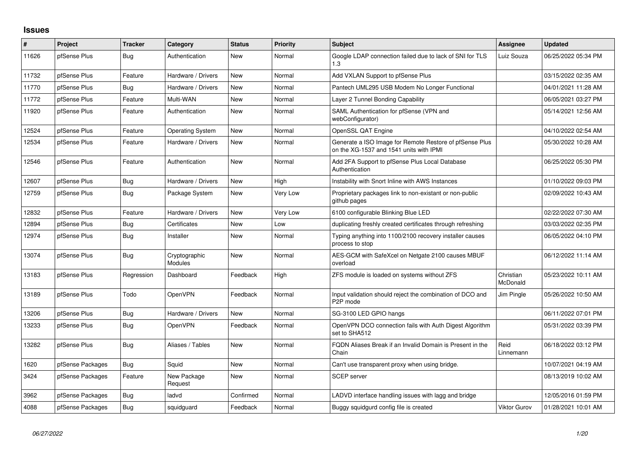## **Issues**

| #     | Project          | <b>Tracker</b> | Category                        | <b>Status</b> | <b>Priority</b> | <b>Subject</b>                                                                                     | <b>Assignee</b>       | <b>Updated</b>      |
|-------|------------------|----------------|---------------------------------|---------------|-----------------|----------------------------------------------------------------------------------------------------|-----------------------|---------------------|
| 11626 | pfSense Plus     | Bug            | Authentication                  | <b>New</b>    | Normal          | Google LDAP connection failed due to lack of SNI for TLS<br>1.3                                    | Luiz Souza            | 06/25/2022 05:34 PM |
| 11732 | pfSense Plus     | Feature        | Hardware / Drivers              | <b>New</b>    | Normal          | Add VXLAN Support to pfSense Plus                                                                  |                       | 03/15/2022 02:35 AM |
| 11770 | pfSense Plus     | Bug            | Hardware / Drivers              | <b>New</b>    | Normal          | Pantech UML295 USB Modem No Longer Functional                                                      |                       | 04/01/2021 11:28 AM |
| 11772 | pfSense Plus     | Feature        | Multi-WAN                       | <b>New</b>    | Normal          | Layer 2 Tunnel Bonding Capability                                                                  |                       | 06/05/2021 03:27 PM |
| 11920 | pfSense Plus     | Feature        | Authentication                  | <b>New</b>    | Normal          | SAML Authentication for pfSense (VPN and<br>webConfigurator)                                       |                       | 05/14/2021 12:56 AM |
| 12524 | pfSense Plus     | Feature        | <b>Operating System</b>         | <b>New</b>    | Normal          | OpenSSL QAT Engine                                                                                 |                       | 04/10/2022 02:54 AM |
| 12534 | pfSense Plus     | Feature        | Hardware / Drivers              | <b>New</b>    | Normal          | Generate a ISO Image for Remote Restore of pfSense Plus<br>on the XG-1537 and 1541 units with IPMI |                       | 05/30/2022 10:28 AM |
| 12546 | pfSense Plus     | Feature        | Authentication                  | <b>New</b>    | Normal          | Add 2FA Support to pfSense Plus Local Database<br>Authentication                                   |                       | 06/25/2022 05:30 PM |
| 12607 | pfSense Plus     | <b>Bug</b>     | Hardware / Drivers              | <b>New</b>    | High            | Instability with Snort Inline with AWS Instances                                                   |                       | 01/10/2022 09:03 PM |
| 12759 | pfSense Plus     | <b>Bug</b>     | Package System                  | <b>New</b>    | Very Low        | Proprietary packages link to non-existant or non-public<br>github pages                            |                       | 02/09/2022 10:43 AM |
| 12832 | pfSense Plus     | Feature        | Hardware / Drivers              | <b>New</b>    | Very Low        | 6100 configurable Blinking Blue LED                                                                |                       | 02/22/2022 07:30 AM |
| 12894 | pfSense Plus     | Bug            | Certificates                    | <b>New</b>    | Low             | duplicating freshly created certificates through refreshing                                        |                       | 03/03/2022 02:35 PM |
| 12974 | pfSense Plus     | <b>Bug</b>     | Installer                       | New           | Normal          | Typing anything into 1100/2100 recovery installer causes<br>process to stop                        |                       | 06/05/2022 04:10 PM |
| 13074 | pfSense Plus     | <b>Bug</b>     | Cryptographic<br><b>Modules</b> | <b>New</b>    | Normal          | AES-GCM with SafeXcel on Netgate 2100 causes MBUF<br>overload                                      |                       | 06/12/2022 11:14 AM |
| 13183 | pfSense Plus     | Regression     | Dashboard                       | Feedback      | High            | ZFS module is loaded on systems without ZFS                                                        | Christian<br>McDonald | 05/23/2022 10:11 AM |
| 13189 | pfSense Plus     | Todo           | OpenVPN                         | Feedback      | Normal          | Input validation should reject the combination of DCO and<br>P2P mode                              | Jim Pingle            | 05/26/2022 10:50 AM |
| 13206 | pfSense Plus     | Bug            | Hardware / Drivers              | <b>New</b>    | Normal          | SG-3100 LED GPIO hangs                                                                             |                       | 06/11/2022 07:01 PM |
| 13233 | pfSense Plus     | Bug            | OpenVPN                         | Feedback      | Normal          | OpenVPN DCO connection fails with Auth Digest Algorithm<br>set to SHA512                           |                       | 05/31/2022 03:39 PM |
| 13282 | pfSense Plus     | <b>Bug</b>     | Aliases / Tables                | New           | Normal          | FQDN Aliases Break if an Invalid Domain is Present in the<br>Chain                                 | Reid<br>Linnemann     | 06/18/2022 03:12 PM |
| 1620  | pfSense Packages | <b>Bug</b>     | Squid                           | New           | Normal          | Can't use transparent proxy when using bridge.                                                     |                       | 10/07/2021 04:19 AM |
| 3424  | pfSense Packages | Feature        | New Package<br>Request          | <b>New</b>    | Normal          | <b>SCEP</b> server                                                                                 |                       | 08/13/2019 10:02 AM |
| 3962  | pfSense Packages | <b>Bug</b>     | ladvd                           | Confirmed     | Normal          | LADVD interface handling issues with lagg and bridge                                               |                       | 12/05/2016 01:59 PM |
| 4088  | pfSense Packages | Bug            | squidquard                      | Feedback      | Normal          | Buggy squidgurd config file is created                                                             | <b>Viktor Gurov</b>   | 01/28/2021 10:01 AM |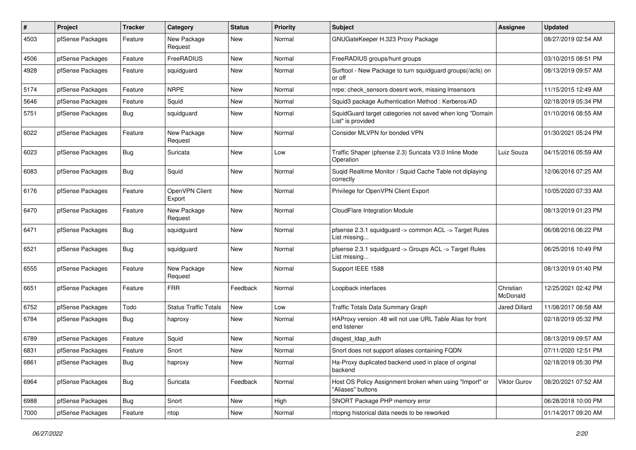| $\sharp$ | Project          | <b>Tracker</b> | Category                     | <b>Status</b> | <b>Priority</b> | <b>Subject</b>                                                                | <b>Assignee</b>       | <b>Updated</b>      |
|----------|------------------|----------------|------------------------------|---------------|-----------------|-------------------------------------------------------------------------------|-----------------------|---------------------|
| 4503     | pfSense Packages | Feature        | New Package<br>Request       | New           | Normal          | GNUGateKeeper H.323 Proxy Package                                             |                       | 08/27/2019 02:54 AM |
| 4506     | pfSense Packages | Feature        | FreeRADIUS                   | New           | Normal          | FreeRADIUS groups/hunt groups                                                 |                       | 03/10/2015 08:51 PM |
| 4928     | pfSense Packages | Feature        | squidguard                   | New           | Normal          | Surftool - New Package to turn squidguard groups(/acls) on<br>or off          |                       | 08/13/2019 09:57 AM |
| 5174     | pfSense Packages | Feature        | <b>NRPE</b>                  | <b>New</b>    | Normal          | nrpe: check sensors doesnt work, missing Imsensors                            |                       | 11/15/2015 12:49 AM |
| 5646     | pfSense Packages | Feature        | Squid                        | New           | Normal          | Squid3 package Authentication Method: Kerberos/AD                             |                       | 02/18/2019 05:34 PM |
| 5751     | pfSense Packages | <b>Bug</b>     | squidquard                   | New           | Normal          | SquidGuard target categories not saved when long "Domain<br>List" is provided |                       | 01/10/2016 08:55 AM |
| 6022     | pfSense Packages | Feature        | New Package<br>Request       | <b>New</b>    | Normal          | Consider MLVPN for bonded VPN                                                 |                       | 01/30/2021 05:24 PM |
| 6023     | pfSense Packages | <b>Bug</b>     | Suricata                     | New           | Low             | Traffic Shaper (pfsense 2.3) Suricata V3.0 Inline Mode<br>Operation           | Luiz Souza            | 04/15/2016 05:59 AM |
| 6083     | pfSense Packages | Bug            | Squid                        | New           | Normal          | Suqid Realtime Monitor / Squid Cache Table not diplaying<br>correctly         |                       | 12/06/2016 07:25 AM |
| 6176     | pfSense Packages | Feature        | OpenVPN Client<br>Export     | New           | Normal          | Privilege for OpenVPN Client Export                                           |                       | 10/05/2020 07:33 AM |
| 6470     | pfSense Packages | Feature        | New Package<br>Request       | New           | Normal          | CloudFlare Integration Module                                                 |                       | 08/13/2019 01:23 PM |
| 6471     | pfSense Packages | Bug            | squidguard                   | New           | Normal          | pfsense 2.3.1 squidguard -> common ACL -> Target Rules<br>List missing        |                       | 06/08/2016 06:22 PM |
| 6521     | pfSense Packages | Bug            | squidguard                   | New           | Normal          | pfsense 2.3.1 squidguard -> Groups ACL -> Target Rules<br>List missing        |                       | 06/25/2016 10:49 PM |
| 6555     | pfSense Packages | Feature        | New Package<br>Request       | New           | Normal          | Support IEEE 1588                                                             |                       | 08/13/2019 01:40 PM |
| 6651     | pfSense Packages | Feature        | <b>FRR</b>                   | Feedback      | Normal          | Loopback interfaces                                                           | Christian<br>McDonald | 12/25/2021 02:42 PM |
| 6752     | pfSense Packages | Todo           | <b>Status Traffic Totals</b> | New           | Low             | Traffic Totals Data Summary Graph                                             | <b>Jared Dillard</b>  | 11/08/2017 08:58 AM |
| 6784     | pfSense Packages | Bug            | haproxy                      | New           | Normal          | HAProxy version .48 will not use URL Table Alias for front<br>end listener    |                       | 02/18/2019 05:32 PM |
| 6789     | pfSense Packages | Feature        | Squid                        | <b>New</b>    | Normal          | disgest_ldap_auth                                                             |                       | 08/13/2019 09:57 AM |
| 6831     | pfSense Packages | Feature        | Snort                        | <b>New</b>    | Normal          | Snort does not support aliases containing FQDN                                |                       | 07/11/2020 12:51 PM |
| 6861     | pfSense Packages | Bug            | haproxy                      | New           | Normal          | Ha-Proxy duplicated backend used in place of original<br>backend              |                       | 02/18/2019 05:30 PM |
| 6964     | pfSense Packages | Bug            | Suricata                     | Feedback      | Normal          | Host OS Policy Assignment broken when using "Import" or<br>"Aliases" buttons  | Viktor Gurov          | 08/20/2021 07:52 AM |
| 6988     | pfSense Packages | Bug            | Snort                        | New           | High            | SNORT Package PHP memory error                                                |                       | 06/28/2018 10:00 PM |
| 7000     | pfSense Packages | Feature        | ntop                         | New           | Normal          | ntopng historical data needs to be reworked                                   |                       | 01/14/2017 09:20 AM |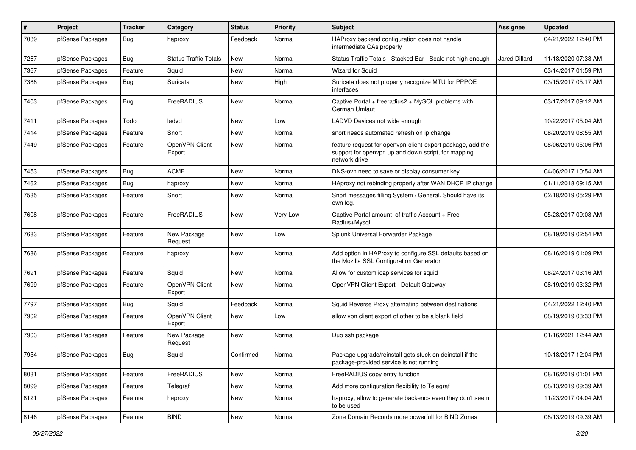| $\pmb{\#}$ | Project          | <b>Tracker</b> | Category                     | <b>Status</b> | <b>Priority</b> | Subject                                                                                                                            | Assignee             | <b>Updated</b>      |
|------------|------------------|----------------|------------------------------|---------------|-----------------|------------------------------------------------------------------------------------------------------------------------------------|----------------------|---------------------|
| 7039       | pfSense Packages | Bug            | haproxy                      | Feedback      | Normal          | HAProxy backend configuration does not handle<br>intermediate CAs properly                                                         |                      | 04/21/2022 12:40 PM |
| 7267       | pfSense Packages | <b>Bug</b>     | <b>Status Traffic Totals</b> | <b>New</b>    | Normal          | Status Traffic Totals - Stacked Bar - Scale not high enough                                                                        | <b>Jared Dillard</b> | 11/18/2020 07:38 AM |
| 7367       | pfSense Packages | Feature        | Squid                        | New           | Normal          | Wizard for Squid                                                                                                                   |                      | 03/14/2017 01:59 PM |
| 7388       | pfSense Packages | Bug            | Suricata                     | New           | High            | Suricata does not property recognize MTU for PPPOE<br>interfaces                                                                   |                      | 03/15/2017 05:17 AM |
| 7403       | pfSense Packages | <b>Bug</b>     | FreeRADIUS                   | New           | Normal          | Captive Portal + freeradius2 + MySQL problems with<br>German Umlaut                                                                |                      | 03/17/2017 09:12 AM |
| 7411       | pfSense Packages | Todo           | ladvd                        | <b>New</b>    | Low             | LADVD Devices not wide enough                                                                                                      |                      | 10/22/2017 05:04 AM |
| 7414       | pfSense Packages | Feature        | Snort                        | <b>New</b>    | Normal          | snort needs automated refresh on ip change                                                                                         |                      | 08/20/2019 08:55 AM |
| 7449       | pfSense Packages | Feature        | OpenVPN Client<br>Export     | New           | Normal          | feature request for openvpn-client-export package, add the<br>support for openvpn up and down script, for mapping<br>network drive |                      | 08/06/2019 05:06 PM |
| 7453       | pfSense Packages | <b>Bug</b>     | <b>ACME</b>                  | <b>New</b>    | Normal          | DNS-ovh need to save or display consumer key                                                                                       |                      | 04/06/2017 10:54 AM |
| 7462       | pfSense Packages | <b>Bug</b>     | haproxy                      | New           | Normal          | HAproxy not rebinding properly after WAN DHCP IP change                                                                            |                      | 01/11/2018 09:15 AM |
| 7535       | pfSense Packages | Feature        | Snort                        | New           | Normal          | Snort messages filling System / General. Should have its<br>own log.                                                               |                      | 02/18/2019 05:29 PM |
| 7608       | pfSense Packages | Feature        | FreeRADIUS                   | New           | Very Low        | Captive Portal amount of traffic Account + Free<br>Radius+Mysgl                                                                    |                      | 05/28/2017 09:08 AM |
| 7683       | pfSense Packages | Feature        | New Package<br>Request       | New           | Low             | Splunk Universal Forwarder Package                                                                                                 |                      | 08/19/2019 02:54 PM |
| 7686       | pfSense Packages | Feature        | haproxy                      | New           | Normal          | Add option in HAProxy to configure SSL defaults based on<br>the Mozilla SSL Configuration Generator                                |                      | 08/16/2019 01:09 PM |
| 7691       | pfSense Packages | Feature        | Squid                        | New           | Normal          | Allow for custom icap services for squid                                                                                           |                      | 08/24/2017 03:16 AM |
| 7699       | pfSense Packages | Feature        | OpenVPN Client<br>Export     | <b>New</b>    | Normal          | OpenVPN Client Export - Default Gateway                                                                                            |                      | 08/19/2019 03:32 PM |
| 7797       | pfSense Packages | Bug            | Squid                        | Feedback      | Normal          | Squid Reverse Proxy alternating between destinations                                                                               |                      | 04/21/2022 12:40 PM |
| 7902       | pfSense Packages | Feature        | OpenVPN Client<br>Export     | New           | Low             | allow vpn client export of other to be a blank field                                                                               |                      | 08/19/2019 03:33 PM |
| 7903       | pfSense Packages | Feature        | New Package<br>Request       | <b>New</b>    | Normal          | Duo ssh package                                                                                                                    |                      | 01/16/2021 12:44 AM |
| 7954       | pfSense Packages | <b>Bug</b>     | Squid                        | Confirmed     | Normal          | Package upgrade/reinstall gets stuck on deinstall if the<br>package-provided service is not running                                |                      | 10/18/2017 12:04 PM |
| 8031       | pfSense Packages | Feature        | FreeRADIUS                   | New           | Normal          | FreeRADIUS copy entry function                                                                                                     |                      | 08/16/2019 01:01 PM |
| 8099       | pfSense Packages | Feature        | Telegraf                     | New           | Normal          | Add more configuration flexibility to Telegraf                                                                                     |                      | 08/13/2019 09:39 AM |
| 8121       | pfSense Packages | Feature        | haproxy                      | New           | Normal          | haproxy, allow to generate backends even they don't seem<br>to be used                                                             |                      | 11/23/2017 04:04 AM |
| 8146       | pfSense Packages | Feature        | <b>BIND</b>                  | New           | Normal          | Zone Domain Records more powerfull for BIND Zones                                                                                  |                      | 08/13/2019 09:39 AM |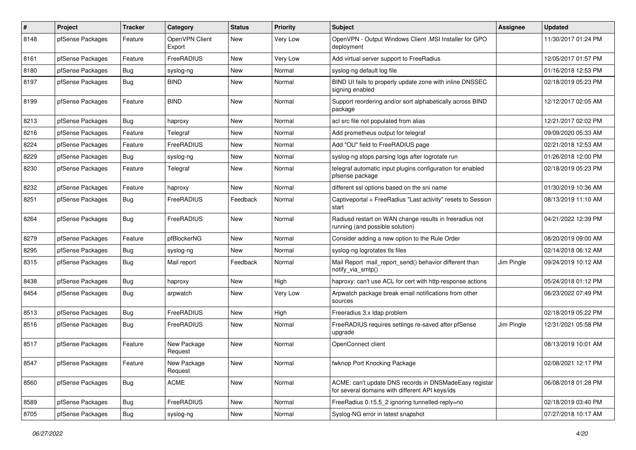| $\#$ | Project          | <b>Tracker</b> | Category                 | <b>Status</b> | <b>Priority</b> | Subject                                                                                                   | <b>Assignee</b> | <b>Updated</b>      |
|------|------------------|----------------|--------------------------|---------------|-----------------|-----------------------------------------------------------------------------------------------------------|-----------------|---------------------|
| 8148 | pfSense Packages | Feature        | OpenVPN Client<br>Export | New           | Very Low        | OpenVPN - Output Windows Client .MSI Installer for GPO<br>deployment                                      |                 | 11/30/2017 01:24 PM |
| 8161 | pfSense Packages | Feature        | FreeRADIUS               | New           | Very Low        | Add virtual server support to FreeRadius                                                                  |                 | 12/05/2017 01:57 PM |
| 8180 | pfSense Packages | <b>Bug</b>     | syslog-ng                | <b>New</b>    | Normal          | syslog-ng default log file                                                                                |                 | 01/16/2018 12:53 PM |
| 8197 | pfSense Packages | <b>Bug</b>     | <b>BIND</b>              | <b>New</b>    | Normal          | BIND UI fails to properly update zone with inline DNSSEC<br>signing enabled                               |                 | 02/18/2019 05:23 PM |
| 8199 | pfSense Packages | Feature        | <b>BIND</b>              | New           | Normal          | Support reordering and/or sort alphabetically across BIND<br>package                                      |                 | 12/12/2017 02:05 AM |
| 8213 | pfSense Packages | Bug            | haproxy                  | New           | Normal          | acl src file not populated from alias                                                                     |                 | 12/21/2017 02:02 PM |
| 8216 | pfSense Packages | Feature        | Telegraf                 | <b>New</b>    | Normal          | Add prometheus output for telegraf                                                                        |                 | 09/09/2020 05:33 AM |
| 8224 | pfSense Packages | Feature        | FreeRADIUS               | New           | Normal          | Add "OU" field to FreeRADIUS page                                                                         |                 | 02/21/2018 12:53 AM |
| 8229 | pfSense Packages | <b>Bug</b>     | syslog-ng                | New           | Normal          | syslog-ng stops parsing logs after logrotate run                                                          |                 | 01/26/2018 12:00 PM |
| 8230 | pfSense Packages | Feature        | Telegraf                 | <b>New</b>    | Normal          | telegraf automatic input plugins configuration for enabled<br>pfsense package                             |                 | 02/18/2019 05:23 PM |
| 8232 | pfSense Packages | Feature        | haproxy                  | New           | Normal          | different ssl options based on the sni name                                                               |                 | 01/30/2019 10:36 AM |
| 8251 | pfSense Packages | <b>Bug</b>     | FreeRADIUS               | Feedback      | Normal          | Captiveportal + FreeRadius "Last activity" resets to Session<br>start                                     |                 | 08/13/2019 11:10 AM |
| 8264 | pfSense Packages | <b>Bug</b>     | FreeRADIUS               | <b>New</b>    | Normal          | Radiusd restart on WAN change results in freeradius not<br>running (and possible solution)                |                 | 04/21/2022 12:39 PM |
| 8279 | pfSense Packages | Feature        | pfBlockerNG              | <b>New</b>    | Normal          | Consider adding a new option to the Rule Order                                                            |                 | 08/20/2019 09:00 AM |
| 8295 | pfSense Packages | Bug            | syslog-ng                | <b>New</b>    | Normal          | syslog-ng logrotates tls files                                                                            |                 | 02/14/2018 06:12 AM |
| 8315 | pfSense Packages | <b>Bug</b>     | Mail report              | Feedback      | Normal          | Mail Report mail_report_send() behavior different than<br>notify_via_smtp()                               | Jim Pingle      | 09/24/2019 10:12 AM |
| 8438 | pfSense Packages | <b>Bug</b>     | haproxy                  | <b>New</b>    | High            | haproxy: can't use ACL for cert with http-response actions                                                |                 | 05/24/2018 01:12 PM |
| 8454 | pfSense Packages | <b>Bug</b>     | arpwatch                 | New           | Very Low        | Arpwatch package break email notifications from other<br>sources                                          |                 | 06/23/2022 07:49 PM |
| 8513 | pfSense Packages | <b>Bug</b>     | FreeRADIUS               | <b>New</b>    | High            | Freeradius 3.x Idap problem                                                                               |                 | 02/18/2019 05:22 PM |
| 8516 | pfSense Packages | Bug            | FreeRADIUS               | <b>New</b>    | Normal          | FreeRADIUS requires settings re-saved after pfSense<br>upgrade                                            | Jim Pingle      | 12/31/2021 05:58 PM |
| 8517 | pfSense Packages | Feature        | New Package<br>Request   | New           | Normal          | OpenConnect client                                                                                        |                 | 08/13/2019 10:01 AM |
| 8547 | pfSense Packages | Feature        | New Package<br>Request   | New           | Normal          | fwknop Port Knocking Package                                                                              |                 | 02/08/2021 12:17 PM |
| 8560 | pfSense Packages | Bug            | <b>ACME</b>              | New           | Normal          | ACME: can't update DNS records in DNSMadeEasy registar<br>for several domains with different API keys/ids |                 | 06/08/2018 01:28 PM |
| 8589 | pfSense Packages | Bug            | FreeRADIUS               | <b>New</b>    | Normal          | FreeRadius 0.15.5 2 ignoring tunnelled-reply=no                                                           |                 | 02/18/2019 03:40 PM |
| 8705 | pfSense Packages | Bug            | syslog-ng                | New           | Normal          | Syslog-NG error in latest snapshot                                                                        |                 | 07/27/2018 10:17 AM |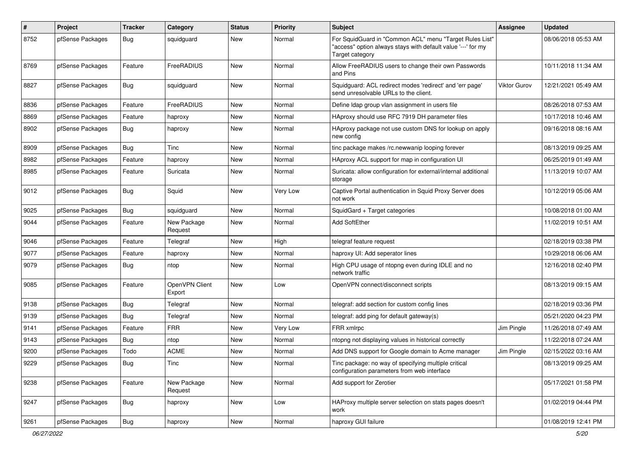| $\pmb{\#}$ | Project          | <b>Tracker</b> | Category                 | <b>Status</b> | <b>Priority</b> | Subject                                                                                                                                    | Assignee            | <b>Updated</b>      |
|------------|------------------|----------------|--------------------------|---------------|-----------------|--------------------------------------------------------------------------------------------------------------------------------------------|---------------------|---------------------|
| 8752       | pfSense Packages | <b>Bug</b>     | squidguard               | New           | Normal          | For SquidGuard in "Common ACL" menu "Target Rules List"<br>"access" option always stays with default value '---' for my<br>Target category |                     | 08/06/2018 05:53 AM |
| 8769       | pfSense Packages | Feature        | FreeRADIUS               | <b>New</b>    | Normal          | Allow FreeRADIUS users to change their own Passwords<br>and Pins                                                                           |                     | 10/11/2018 11:34 AM |
| 8827       | pfSense Packages | <b>Bug</b>     | squidguard               | New           | Normal          | Squidguard: ACL redirect modes 'redirect' and 'err page'<br>send unresolvable URLs to the client.                                          | <b>Viktor Gurov</b> | 12/21/2021 05:49 AM |
| 8836       | pfSense Packages | Feature        | FreeRADIUS               | New           | Normal          | Define Idap group vlan assignment in users file                                                                                            |                     | 08/26/2018 07:53 AM |
| 8869       | pfSense Packages | Feature        | haproxy                  | New           | Normal          | HAproxy should use RFC 7919 DH parameter files                                                                                             |                     | 10/17/2018 10:46 AM |
| 8902       | pfSense Packages | <b>Bug</b>     | haproxy                  | New           | Normal          | HAproxy package not use custom DNS for lookup on apply<br>new config                                                                       |                     | 09/16/2018 08:16 AM |
| 8909       | pfSense Packages | <b>Bug</b>     | Tinc                     | New           | Normal          | tinc package makes /rc.newwanip looping forever                                                                                            |                     | 08/13/2019 09:25 AM |
| 8982       | pfSense Packages | Feature        | haproxy                  | New           | Normal          | HAproxy ACL support for map in configuration UI                                                                                            |                     | 06/25/2019 01:49 AM |
| 8985       | pfSense Packages | Feature        | Suricata                 | New           | Normal          | Suricata: allow configuration for external/internal additional<br>storage                                                                  |                     | 11/13/2019 10:07 AM |
| 9012       | pfSense Packages | Bug            | Squid                    | New           | Very Low        | Captive Portal authentication in Squid Proxy Server does<br>not work                                                                       |                     | 10/12/2019 05:06 AM |
| 9025       | pfSense Packages | <b>Bug</b>     | squidguard               | New           | Normal          | SquidGard + Target categories                                                                                                              |                     | 10/08/2018 01:00 AM |
| 9044       | pfSense Packages | Feature        | New Package<br>Request   | New           | Normal          | <b>Add SoftEther</b>                                                                                                                       |                     | 11/02/2019 10:51 AM |
| 9046       | pfSense Packages | Feature        | Telegraf                 | <b>New</b>    | High            | telegraf feature request                                                                                                                   |                     | 02/18/2019 03:38 PM |
| 9077       | pfSense Packages | Feature        | haproxy                  | New           | Normal          | haproxy UI: Add seperator lines                                                                                                            |                     | 10/29/2018 06:06 AM |
| 9079       | pfSense Packages | Bug            | ntop                     | New           | Normal          | High CPU usage of ntopng even during IDLE and no<br>network traffic                                                                        |                     | 12/16/2018 02:40 PM |
| 9085       | pfSense Packages | Feature        | OpenVPN Client<br>Export | <b>New</b>    | Low             | OpenVPN connect/disconnect scripts                                                                                                         |                     | 08/13/2019 09:15 AM |
| 9138       | pfSense Packages | <b>Bug</b>     | Telegraf                 | New           | Normal          | telegraf: add section for custom config lines                                                                                              |                     | 02/18/2019 03:36 PM |
| 9139       | pfSense Packages | <b>Bug</b>     | Telegraf                 | New           | Normal          | telegraf: add ping for default gateway(s)                                                                                                  |                     | 05/21/2020 04:23 PM |
| 9141       | pfSense Packages | Feature        | <b>FRR</b>               | New           | Very Low        | FRR xmlrpc                                                                                                                                 | Jim Pingle          | 11/26/2018 07:49 AM |
| 9143       | pfSense Packages | Bug            | ntop                     | New           | Normal          | ntopng not displaying values in historical correctly                                                                                       |                     | 11/22/2018 07:24 AM |
| 9200       | pfSense Packages | Todo           | <b>ACME</b>              | New           | Normal          | Add DNS support for Google domain to Acme manager                                                                                          | Jim Pingle          | 02/15/2022 03:16 AM |
| 9229       | pfSense Packages | Bug            | Tinc                     | New           | Normal          | Tinc package: no way of specifying multiple critical<br>configuration parameters from web interface                                        |                     | 08/13/2019 09:25 AM |
| 9238       | pfSense Packages | Feature        | New Package<br>Request   | New           | Normal          | Add support for Zerotier                                                                                                                   |                     | 05/17/2021 01:58 PM |
| 9247       | pfSense Packages | Bug            | haproxy                  | New           | Low             | HAProxy multiple server selection on stats pages doesn't<br>work                                                                           |                     | 01/02/2019 04:44 PM |
| 9261       | pfSense Packages | Bug            | haproxy                  | New           | Normal          | haproxy GUI failure                                                                                                                        |                     | 01/08/2019 12:41 PM |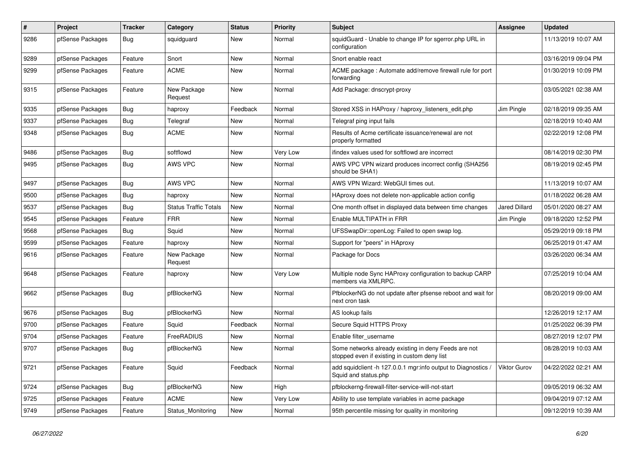| $\#$ | Project          | <b>Tracker</b> | Category                     | <b>Status</b> | <b>Priority</b> | <b>Subject</b>                                                                                       | Assignee      | <b>Updated</b>      |
|------|------------------|----------------|------------------------------|---------------|-----------------|------------------------------------------------------------------------------------------------------|---------------|---------------------|
| 9286 | pfSense Packages | <b>Bug</b>     | squidguard                   | New           | Normal          | squidGuard - Unable to change IP for sgerror.php URL in<br>configuration                             |               | 11/13/2019 10:07 AM |
| 9289 | pfSense Packages | Feature        | Snort                        | New           | Normal          | Snort enable react                                                                                   |               | 03/16/2019 09:04 PM |
| 9299 | pfSense Packages | Feature        | <b>ACME</b>                  | New           | Normal          | ACME package: Automate add/remove firewall rule for port<br>forwarding                               |               | 01/30/2019 10:09 PM |
| 9315 | pfSense Packages | Feature        | New Package<br>Request       | New           | Normal          | Add Package: dnscrypt-proxy                                                                          |               | 03/05/2021 02:38 AM |
| 9335 | pfSense Packages | Bug            | haproxy                      | Feedback      | Normal          | Stored XSS in HAProxy / haproxy_listeners_edit.php                                                   | Jim Pingle    | 02/18/2019 09:35 AM |
| 9337 | pfSense Packages | <b>Bug</b>     | Telegraf                     | New           | Normal          | Telegraf ping input fails                                                                            |               | 02/18/2019 10:40 AM |
| 9348 | pfSense Packages | Bug            | <b>ACME</b>                  | <b>New</b>    | Normal          | Results of Acme certificate issuance/renewal are not<br>properly formatted                           |               | 02/22/2019 12:08 PM |
| 9486 | pfSense Packages | <b>Bug</b>     | softflowd                    | <b>New</b>    | Very Low        | ifindex values used for softflowd are incorrect                                                      |               | 08/14/2019 02:30 PM |
| 9495 | pfSense Packages | <b>Bug</b>     | AWS VPC                      | <b>New</b>    | Normal          | AWS VPC VPN wizard produces incorrect config (SHA256<br>should be SHA1)                              |               | 08/19/2019 02:45 PM |
| 9497 | pfSense Packages | Bug            | AWS VPC                      | <b>New</b>    | Normal          | AWS VPN Wizard: WebGUI times out.                                                                    |               | 11/13/2019 10:07 AM |
| 9500 | pfSense Packages | <b>Bug</b>     | haproxy                      | <b>New</b>    | Normal          | HAproxy does not delete non-applicable action config                                                 |               | 01/18/2022 06:28 AM |
| 9537 | pfSense Packages | <b>Bug</b>     | <b>Status Traffic Totals</b> | <b>New</b>    | Normal          | One month offset in displayed data between time changes                                              | Jared Dillard | 05/01/2020 08:27 AM |
| 9545 | pfSense Packages | Feature        | <b>FRR</b>                   | <b>New</b>    | Normal          | Enable MULTIPATH in FRR                                                                              | Jim Pingle    | 09/18/2020 12:52 PM |
| 9568 | pfSense Packages | Bug            | Squid                        | New           | Normal          | UFSSwapDir::openLog: Failed to open swap log.                                                        |               | 05/29/2019 09:18 PM |
| 9599 | pfSense Packages | Feature        | haproxy                      | New           | Normal          | Support for "peers" in HAproxy                                                                       |               | 06/25/2019 01:47 AM |
| 9616 | pfSense Packages | Feature        | New Package<br>Request       | <b>New</b>    | Normal          | Package for Docs                                                                                     |               | 03/26/2020 06:34 AM |
| 9648 | pfSense Packages | Feature        | haproxy                      | New           | Very Low        | Multiple node Sync HAProxy configuration to backup CARP<br>members via XMLRPC.                       |               | 07/25/2019 10:04 AM |
| 9662 | pfSense Packages | <b>Bug</b>     | pfBlockerNG                  | <b>New</b>    | Normal          | PfblockerNG do not update after pfsense reboot and wait for<br>next cron task                        |               | 08/20/2019 09:00 AM |
| 9676 | pfSense Packages | Bug            | pfBlockerNG                  | New           | Normal          | AS lookup fails                                                                                      |               | 12/26/2019 12:17 AM |
| 9700 | pfSense Packages | Feature        | Squid                        | Feedback      | Normal          | Secure Squid HTTPS Proxy                                                                             |               | 01/25/2022 06:39 PM |
| 9704 | pfSense Packages | Feature        | FreeRADIUS                   | New           | Normal          | Enable filter_username                                                                               |               | 08/27/2019 12:07 PM |
| 9707 | pfSense Packages | <b>Bug</b>     | pfBlockerNG                  | New           | Normal          | Some networks already existing in deny Feeds are not<br>stopped even if existing in custom deny list |               | 08/28/2019 10:03 AM |
| 9721 | pfSense Packages | Feature        | Squid                        | Feedback      | Normal          | add squidclient -h 127.0.0.1 mgr:info output to Diagnostics /<br>Squid and status.php                | Viktor Gurov  | 04/22/2022 02:21 AM |
| 9724 | pfSense Packages | <b>Bug</b>     | pfBlockerNG                  | New           | High            | pfblockerng-firewall-filter-service-will-not-start                                                   |               | 09/05/2019 06:32 AM |
| 9725 | pfSense Packages | Feature        | <b>ACME</b>                  | New           | Very Low        | Ability to use template variables in acme package                                                    |               | 09/04/2019 07:12 AM |
| 9749 | pfSense Packages | Feature        | Status_Monitoring            | New           | Normal          | 95th percentile missing for quality in monitoring                                                    |               | 09/12/2019 10:39 AM |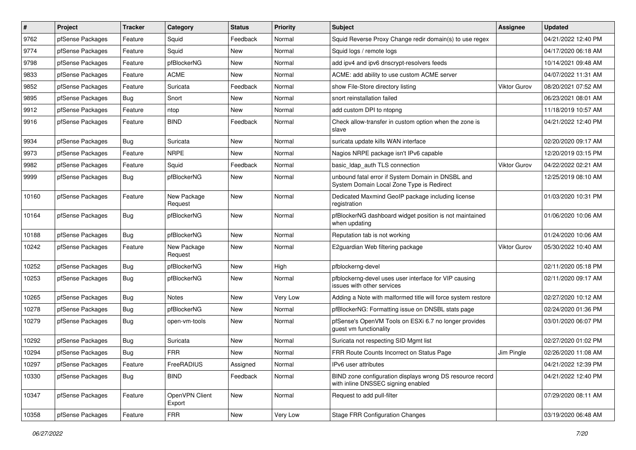| $\sharp$ | Project          | <b>Tracker</b> | Category                 | <b>Status</b> | Priority | Subject                                                                                         | Assignee            | <b>Updated</b>      |
|----------|------------------|----------------|--------------------------|---------------|----------|-------------------------------------------------------------------------------------------------|---------------------|---------------------|
| 9762     | pfSense Packages | Feature        | Squid                    | Feedback      | Normal   | Squid Reverse Proxy Change redir domain(s) to use regex                                         |                     | 04/21/2022 12:40 PM |
| 9774     | pfSense Packages | Feature        | Squid                    | <b>New</b>    | Normal   | Squid logs / remote logs                                                                        |                     | 04/17/2020 06:18 AM |
| 9798     | pfSense Packages | Feature        | pfBlockerNG              | New           | Normal   | add ipv4 and ipv6 dnscrypt-resolvers feeds                                                      |                     | 10/14/2021 09:48 AM |
| 9833     | pfSense Packages | Feature        | <b>ACME</b>              | New           | Normal   | ACME: add ability to use custom ACME server                                                     |                     | 04/07/2022 11:31 AM |
| 9852     | pfSense Packages | Feature        | Suricata                 | Feedback      | Normal   | show File-Store directory listing                                                               | <b>Viktor Gurov</b> | 08/20/2021 07:52 AM |
| 9895     | pfSense Packages | <b>Bug</b>     | Snort                    | New           | Normal   | snort reinstallation failed                                                                     |                     | 06/23/2021 08:01 AM |
| 9912     | pfSense Packages | Feature        | ntop                     | New           | Normal   | add custom DPI to ntopng                                                                        |                     | 11/18/2019 10:57 AM |
| 9916     | pfSense Packages | Feature        | <b>BIND</b>              | Feedback      | Normal   | Check allow-transfer in custom option when the zone is<br>slave                                 |                     | 04/21/2022 12:40 PM |
| 9934     | pfSense Packages | Bug            | Suricata                 | <b>New</b>    | Normal   | suricata update kills WAN interface                                                             |                     | 02/20/2020 09:17 AM |
| 9973     | pfSense Packages | Feature        | <b>NRPE</b>              | New           | Normal   | Nagios NRPE package isn't IPv6 capable                                                          |                     | 12/20/2019 03:15 PM |
| 9982     | pfSense Packages | Feature        | Squid                    | Feedback      | Normal   | basic_Idap_auth TLS connection                                                                  | <b>Viktor Gurov</b> | 04/22/2022 02:21 AM |
| 9999     | pfSense Packages | Bug            | pfBlockerNG              | New           | Normal   | unbound fatal error if System Domain in DNSBL and<br>System Domain Local Zone Type is Redirect  |                     | 12/25/2019 08:10 AM |
| 10160    | pfSense Packages | Feature        | New Package<br>Request   | New           | Normal   | Dedicated Maxmind GeoIP package including license<br>registration                               |                     | 01/03/2020 10:31 PM |
| 10164    | pfSense Packages | Bug            | pfBlockerNG              | New           | Normal   | pfBlockerNG dashboard widget position is not maintained<br>when updating                        |                     | 01/06/2020 10:06 AM |
| 10188    | pfSense Packages | <b>Bug</b>     | pfBlockerNG              | New           | Normal   | Reputation tab is not working                                                                   |                     | 01/24/2020 10:06 AM |
| 10242    | pfSense Packages | Feature        | New Package<br>Request   | New           | Normal   | E2guardian Web filtering package                                                                | <b>Viktor Gurov</b> | 05/30/2022 10:40 AM |
| 10252    | pfSense Packages | <b>Bug</b>     | pfBlockerNG              | New           | High     | pfblockerng-devel                                                                               |                     | 02/11/2020 05:18 PM |
| 10253    | pfSense Packages | Bug            | pfBlockerNG              | New           | Normal   | pfblockerng-devel uses user interface for VIP causing<br>issues with other services             |                     | 02/11/2020 09:17 AM |
| 10265    | pfSense Packages | Bug            | <b>Notes</b>             | New           | Very Low | Adding a Note with malformed title will force system restore                                    |                     | 02/27/2020 10:12 AM |
| 10278    | pfSense Packages | Bug            | pfBlockerNG              | New           | Normal   | pfBlockerNG: Formatting issue on DNSBL stats page                                               |                     | 02/24/2020 01:36 PM |
| 10279    | pfSense Packages | <b>Bug</b>     | open-vm-tools            | New           | Normal   | pfSense's OpenVM Tools on ESXi 6.7 no longer provides<br>guest vm functionality                 |                     | 03/01/2020 06:07 PM |
| 10292    | pfSense Packages | Bug            | Suricata                 | New           | Normal   | Suricata not respecting SID Mgmt list                                                           |                     | 02/27/2020 01:02 PM |
| 10294    | pfSense Packages | <b>Bug</b>     | <b>FRR</b>               | New           | Normal   | FRR Route Counts Incorrect on Status Page                                                       | Jim Pingle          | 02/26/2020 11:08 AM |
| 10297    | pfSense Packages | Feature        | FreeRADIUS               | Assigned      | Normal   | IPv6 user attributes                                                                            |                     | 04/21/2022 12:39 PM |
| 10330    | pfSense Packages | Bug            | <b>BIND</b>              | Feedback      | Normal   | BIND zone configuration displays wrong DS resource record<br>with inline DNSSEC signing enabled |                     | 04/21/2022 12:40 PM |
| 10347    | pfSense Packages | Feature        | OpenVPN Client<br>Export | New           | Normal   | Request to add pull-filter                                                                      |                     | 07/29/2020 08:11 AM |
| 10358    | pfSense Packages | Feature        | <b>FRR</b>               | New           | Very Low | <b>Stage FRR Configuration Changes</b>                                                          |                     | 03/19/2020 06:48 AM |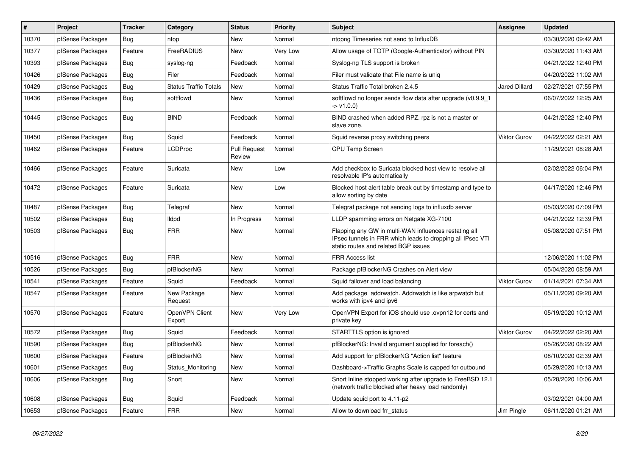| #     | Project          | <b>Tracker</b> | Category                     | <b>Status</b>                 | Priority | <b>Subject</b>                                                                                                                                              | <b>Assignee</b>      | <b>Updated</b>      |
|-------|------------------|----------------|------------------------------|-------------------------------|----------|-------------------------------------------------------------------------------------------------------------------------------------------------------------|----------------------|---------------------|
| 10370 | pfSense Packages | Bug            | ntop                         | <b>New</b>                    | Normal   | ntopng Timeseries not send to InfluxDB                                                                                                                      |                      | 03/30/2020 09:42 AM |
| 10377 | pfSense Packages | Feature        | FreeRADIUS                   | <b>New</b>                    | Very Low | Allow usage of TOTP (Google-Authenticator) without PIN                                                                                                      |                      | 03/30/2020 11:43 AM |
| 10393 | pfSense Packages | <b>Bug</b>     | syslog-ng                    | Feedback                      | Normal   | Syslog-ng TLS support is broken                                                                                                                             |                      | 04/21/2022 12:40 PM |
| 10426 | pfSense Packages | Bug            | Filer                        | Feedback                      | Normal   | Filer must validate that File name is uniq                                                                                                                  |                      | 04/20/2022 11:02 AM |
| 10429 | pfSense Packages | Bug            | <b>Status Traffic Totals</b> | <b>New</b>                    | Normal   | Status Traffic Total broken 2.4.5                                                                                                                           | <b>Jared Dillard</b> | 02/27/2021 07:55 PM |
| 10436 | pfSense Packages | Bug            | softflowd                    | <b>New</b>                    | Normal   | softflowd no longer sends flow data after upgrade (v0.9.9 1<br>$-> v1.0.0$                                                                                  |                      | 06/07/2022 12:25 AM |
| 10445 | pfSense Packages | <b>Bug</b>     | <b>BIND</b>                  | Feedback                      | Normal   | BIND crashed when added RPZ. rpz is not a master or<br>slave zone.                                                                                          |                      | 04/21/2022 12:40 PM |
| 10450 | pfSense Packages | <b>Bug</b>     | Squid                        | Feedback                      | Normal   | Squid reverse proxy switching peers                                                                                                                         | Viktor Gurov         | 04/22/2022 02:21 AM |
| 10462 | pfSense Packages | Feature        | <b>LCDProc</b>               | <b>Pull Request</b><br>Review | Normal   | <b>CPU Temp Screen</b>                                                                                                                                      |                      | 11/29/2021 08:28 AM |
| 10466 | pfSense Packages | Feature        | Suricata                     | <b>New</b>                    | Low      | Add checkbox to Suricata blocked host view to resolve all<br>resolvable IP's automatically                                                                  |                      | 02/02/2022 06:04 PM |
| 10472 | pfSense Packages | Feature        | Suricata                     | <b>New</b>                    | Low      | Blocked host alert table break out by timestamp and type to<br>allow sorting by date                                                                        |                      | 04/17/2020 12:46 PM |
| 10487 | pfSense Packages | Bug            | Telegraf                     | <b>New</b>                    | Normal   | Telegraf package not sending logs to influxdb server                                                                                                        |                      | 05/03/2020 07:09 PM |
| 10502 | pfSense Packages | <b>Bug</b>     | lldpd                        | In Progress                   | Normal   | LLDP spamming errors on Netgate XG-7100                                                                                                                     |                      | 04/21/2022 12:39 PM |
| 10503 | pfSense Packages | <b>Bug</b>     | <b>FRR</b>                   | <b>New</b>                    | Normal   | Flapping any GW in multi-WAN influences restating all<br>IPsec tunnels in FRR which leads to dropping all IPsec VTI<br>static routes and related BGP issues |                      | 05/08/2020 07:51 PM |
| 10516 | pfSense Packages | Bug            | <b>FRR</b>                   | <b>New</b>                    | Normal   | <b>FRR Access list</b>                                                                                                                                      |                      | 12/06/2020 11:02 PM |
| 10526 | pfSense Packages | Bug            | pfBlockerNG                  | <b>New</b>                    | Normal   | Package pfBlockerNG Crashes on Alert view                                                                                                                   |                      | 05/04/2020 08:59 AM |
| 10541 | pfSense Packages | Feature        | Squid                        | Feedback                      | Normal   | Squid failover and load balancing                                                                                                                           | <b>Viktor Gurov</b>  | 01/14/2021 07:34 AM |
| 10547 | pfSense Packages | Feature        | New Package<br>Request       | <b>New</b>                    | Normal   | Add package addrwatch. Addrwatch is like arpwatch but<br>works with ipv4 and ipv6                                                                           |                      | 05/11/2020 09:20 AM |
| 10570 | pfSense Packages | Feature        | OpenVPN Client<br>Export     | <b>New</b>                    | Very Low | OpenVPN Export for iOS should use .ovpn12 for certs and<br>private key                                                                                      |                      | 05/19/2020 10:12 AM |
| 10572 | pfSense Packages | Bug            | Squid                        | Feedback                      | Normal   | STARTTLS option is ignored                                                                                                                                  | Viktor Gurov         | 04/22/2022 02:20 AM |
| 10590 | pfSense Packages | Bug            | pfBlockerNG                  | <b>New</b>                    | Normal   | pfBlockerNG: Invalid argument supplied for foreach()                                                                                                        |                      | 05/26/2020 08:22 AM |
| 10600 | pfSense Packages | Feature        | pfBlockerNG                  | <b>New</b>                    | Normal   | Add support for pfBlockerNG "Action list" feature                                                                                                           |                      | 08/10/2020 02:39 AM |
| 10601 | pfSense Packages | <b>Bug</b>     | Status Monitoring            | New                           | Normal   | Dashboard->Traffic Graphs Scale is capped for outbound                                                                                                      |                      | 05/29/2020 10:13 AM |
| 10606 | pfSense Packages | Bug            | Snort                        | <b>New</b>                    | Normal   | Snort Inline stopped working after upgrade to FreeBSD 12.1<br>(network traffic blocked after heavy load randomly)                                           |                      | 05/28/2020 10:06 AM |
| 10608 | pfSense Packages | Bug            | Squid                        | Feedback                      | Normal   | Update squid port to 4.11-p2                                                                                                                                |                      | 03/02/2021 04:00 AM |
| 10653 | pfSense Packages | Feature        | <b>FRR</b>                   | New                           | Normal   | Allow to download frr status                                                                                                                                | Jim Pingle           | 06/11/2020 01:21 AM |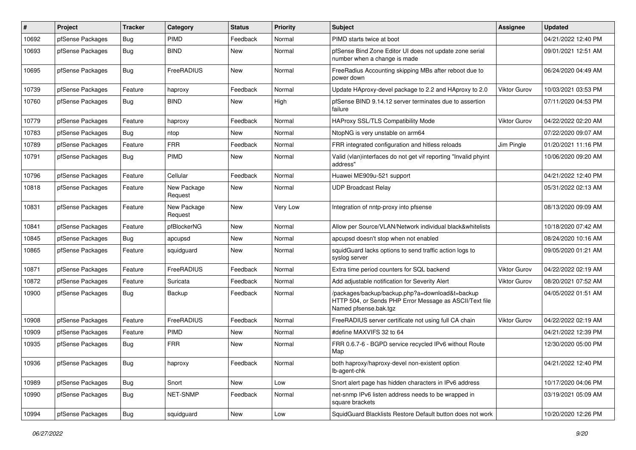| $\pmb{\#}$ | Project          | <b>Tracker</b> | Category               | <b>Status</b> | <b>Priority</b> | <b>Subject</b>                                                                                                                      | <b>Assignee</b>     | <b>Updated</b>      |
|------------|------------------|----------------|------------------------|---------------|-----------------|-------------------------------------------------------------------------------------------------------------------------------------|---------------------|---------------------|
| 10692      | pfSense Packages | <b>Bug</b>     | <b>PIMD</b>            | Feedback      | Normal          | PIMD starts twice at boot                                                                                                           |                     | 04/21/2022 12:40 PM |
| 10693      | pfSense Packages | <b>Bug</b>     | <b>BIND</b>            | <b>New</b>    | Normal          | pfSense Bind Zone Editor UI does not update zone serial<br>number when a change is made                                             |                     | 09/01/2021 12:51 AM |
| 10695      | pfSense Packages | Bug            | FreeRADIUS             | <b>New</b>    | Normal          | FreeRadius Accounting skipping MBs after reboot due to<br>power down                                                                |                     | 06/24/2020 04:49 AM |
| 10739      | pfSense Packages | Feature        | haproxy                | Feedback      | Normal          | Update HAproxy-devel package to 2.2 and HAproxy to 2.0                                                                              | <b>Viktor Gurov</b> | 10/03/2021 03:53 PM |
| 10760      | pfSense Packages | <b>Bug</b>     | <b>BIND</b>            | New           | High            | pfSense BIND 9.14.12 server terminates due to assertion<br>failure                                                                  |                     | 07/11/2020 04:53 PM |
| 10779      | pfSense Packages | Feature        | haproxy                | Feedback      | Normal          | <b>HAProxy SSL/TLS Compatibility Mode</b>                                                                                           | Viktor Gurov        | 04/22/2022 02:20 AM |
| 10783      | pfSense Packages | Bug            | ntop                   | <b>New</b>    | Normal          | NtopNG is very unstable on arm64                                                                                                    |                     | 07/22/2020 09:07 AM |
| 10789      | pfSense Packages | Feature        | <b>FRR</b>             | Feedback      | Normal          | FRR integrated configuration and hitless reloads                                                                                    | Jim Pingle          | 01/20/2021 11:16 PM |
| 10791      | pfSense Packages | <b>Bug</b>     | PIMD                   | New           | Normal          | Valid (vlan)interfaces do not get vif reporting "Invalid phyint<br>address"                                                         |                     | 10/06/2020 09:20 AM |
| 10796      | pfSense Packages | Feature        | Cellular               | Feedback      | Normal          | Huawei ME909u-521 support                                                                                                           |                     | 04/21/2022 12:40 PM |
| 10818      | pfSense Packages | Feature        | New Package<br>Request | <b>New</b>    | Normal          | <b>UDP Broadcast Relay</b>                                                                                                          |                     | 05/31/2022 02:13 AM |
| 10831      | pfSense Packages | Feature        | New Package<br>Request | <b>New</b>    | Very Low        | Integration of nntp-proxy into pfsense                                                                                              |                     | 08/13/2020 09:09 AM |
| 10841      | pfSense Packages | Feature        | pfBlockerNG            | New           | Normal          | Allow per Source/VLAN/Network individual black&whitelists                                                                           |                     | 10/18/2020 07:42 AM |
| 10845      | pfSense Packages | <b>Bug</b>     | apcupsd                | New           | Normal          | apcupsd doesn't stop when not enabled                                                                                               |                     | 08/24/2020 10:16 AM |
| 10865      | pfSense Packages | Feature        | squidguard             | <b>New</b>    | Normal          | squidGuard lacks options to send traffic action logs to<br>syslog server                                                            |                     | 09/05/2020 01:21 AM |
| 10871      | pfSense Packages | Feature        | FreeRADIUS             | Feedback      | Normal          | Extra time period counters for SQL backend                                                                                          | <b>Viktor Gurov</b> | 04/22/2022 02:19 AM |
| 10872      | pfSense Packages | Feature        | Suricata               | Feedback      | Normal          | Add adjustable notification for Severity Alert                                                                                      | Viktor Gurov        | 08/20/2021 07:52 AM |
| 10900      | pfSense Packages | <b>Bug</b>     | Backup                 | Feedback      | Normal          | /packages/backup/backup.php?a=download&t=backup<br>HTTP 504, or Sends PHP Error Message as ASCII/Text file<br>Named pfsense.bak.tgz |                     | 04/05/2022 01:51 AM |
| 10908      | pfSense Packages | Feature        | FreeRADIUS             | Feedback      | Normal          | FreeRADIUS server certificate not using full CA chain                                                                               | Viktor Gurov        | 04/22/2022 02:19 AM |
| 10909      | pfSense Packages | Feature        | PIMD                   | <b>New</b>    | Normal          | #define MAXVIFS 32 to 64                                                                                                            |                     | 04/21/2022 12:39 PM |
| 10935      | pfSense Packages | <b>Bug</b>     | <b>FRR</b>             | New           | Normal          | FRR 0.6.7-6 - BGPD service recycled IPv6 without Route<br>Map                                                                       |                     | 12/30/2020 05:00 PM |
| 10936      | pfSense Packages | <b>Bug</b>     | haproxy                | Feedback      | Normal          | both haproxy/haproxy-devel non-existent option<br>lb-agent-chk                                                                      |                     | 04/21/2022 12:40 PM |
| 10989      | pfSense Packages | Bug            | Snort                  | New           | Low             | Snort alert page has hidden characters in IPv6 address                                                                              |                     | 10/17/2020 04:06 PM |
| 10990      | pfSense Packages | Bug            | NET-SNMP               | Feedback      | Normal          | net-snmp IPv6 listen address needs to be wrapped in<br>square brackets                                                              |                     | 03/19/2021 05:09 AM |
| 10994      | pfSense Packages | <b>Bug</b>     | squidguard             | New           | Low             | SquidGuard Blacklists Restore Default button does not work                                                                          |                     | 10/20/2020 12:26 PM |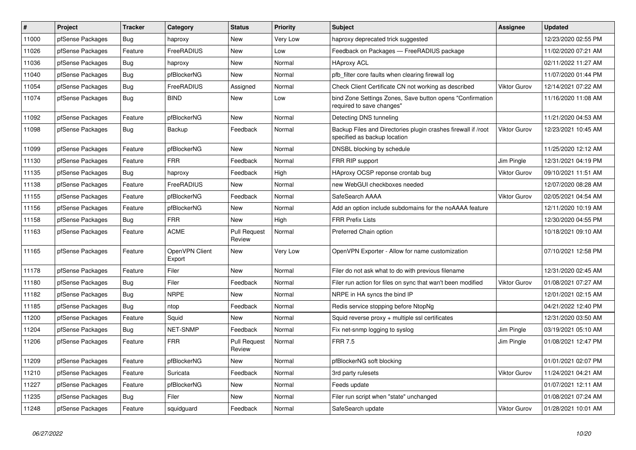| $\pmb{\#}$ | Project          | <b>Tracker</b> | Category                 | <b>Status</b>                 | <b>Priority</b> | <b>Subject</b>                                                                                | <b>Assignee</b>     | <b>Updated</b>      |
|------------|------------------|----------------|--------------------------|-------------------------------|-----------------|-----------------------------------------------------------------------------------------------|---------------------|---------------------|
| 11000      | pfSense Packages | <b>Bug</b>     | haproxy                  | <b>New</b>                    | Very Low        | haproxy deprecated trick suggested                                                            |                     | 12/23/2020 02:55 PM |
| 11026      | pfSense Packages | Feature        | FreeRADIUS               | <b>New</b>                    | Low             | Feedback on Packages - FreeRADIUS package                                                     |                     | 11/02/2020 07:21 AM |
| 11036      | pfSense Packages | Bug            | haproxy                  | New                           | Normal          | <b>HAproxy ACL</b>                                                                            |                     | 02/11/2022 11:27 AM |
| 11040      | pfSense Packages | <b>Bug</b>     | pfBlockerNG              | New                           | Normal          | pfb filter core faults when clearing firewall log                                             |                     | 11/07/2020 01:44 PM |
| 11054      | pfSense Packages | Bug            | FreeRADIUS               | Assigned                      | Normal          | Check Client Certificate CN not working as described                                          | <b>Viktor Gurov</b> | 12/14/2021 07:22 AM |
| 11074      | pfSense Packages | <b>Bug</b>     | <b>BIND</b>              | <b>New</b>                    | Low             | bind Zone Settings Zones, Save button opens "Confirmation<br>required to save changes"        |                     | 11/16/2020 11:08 AM |
| 11092      | pfSense Packages | Feature        | pfBlockerNG              | New                           | Normal          | Detecting DNS tunneling                                                                       |                     | 11/21/2020 04:53 AM |
| 11098      | pfSense Packages | <b>Bug</b>     | Backup                   | Feedback                      | Normal          | Backup Files and Directories plugin crashes firewall if /root<br>specified as backup location | <b>Viktor Gurov</b> | 12/23/2021 10:45 AM |
| 11099      | pfSense Packages | Feature        | pfBlockerNG              | New                           | Normal          | DNSBL blocking by schedule                                                                    |                     | 11/25/2020 12:12 AM |
| 11130      | pfSense Packages | Feature        | <b>FRR</b>               | Feedback                      | Normal          | FRR RIP support                                                                               | Jim Pingle          | 12/31/2021 04:19 PM |
| 11135      | pfSense Packages | Bug            | haproxy                  | Feedback                      | High            | HAproxy OCSP reponse crontab bug                                                              | <b>Viktor Gurov</b> | 09/10/2021 11:51 AM |
| 11138      | pfSense Packages | Feature        | FreeRADIUS               | New                           | Normal          | new WebGUI checkboxes needed                                                                  |                     | 12/07/2020 08:28 AM |
| 11155      | pfSense Packages | Feature        | pfBlockerNG              | Feedback                      | Normal          | SafeSearch AAAA                                                                               | <b>Viktor Gurov</b> | 02/05/2021 04:54 AM |
| 11156      | pfSense Packages | Feature        | pfBlockerNG              | New                           | Normal          | Add an option include subdomains for the noAAAA feature                                       |                     | 12/11/2020 10:19 AM |
| 11158      | pfSense Packages | Bug            | <b>FRR</b>               | New                           | High            | <b>FRR Prefix Lists</b>                                                                       |                     | 12/30/2020 04:55 PM |
| 11163      | pfSense Packages | Feature        | <b>ACME</b>              | <b>Pull Request</b><br>Review | Normal          | Preferred Chain option                                                                        |                     | 10/18/2021 09:10 AM |
| 11165      | pfSense Packages | Feature        | OpenVPN Client<br>Export | New                           | Very Low        | OpenVPN Exporter - Allow for name customization                                               |                     | 07/10/2021 12:58 PM |
| 11178      | pfSense Packages | Feature        | Filer                    | <b>New</b>                    | Normal          | Filer do not ask what to do with previous filename                                            |                     | 12/31/2020 02:45 AM |
| 11180      | pfSense Packages | <b>Bug</b>     | Filer                    | Feedback                      | Normal          | Filer run action for files on sync that wan't been modified                                   | <b>Viktor Gurov</b> | 01/08/2021 07:27 AM |
| 11182      | pfSense Packages | <b>Bug</b>     | <b>NRPE</b>              | New                           | Normal          | NRPE in HA syncs the bind IP                                                                  |                     | 12/01/2021 02:15 AM |
| 11185      | pfSense Packages | <b>Bug</b>     | ntop                     | Feedback                      | Normal          | Redis service stopping before NtopNg                                                          |                     | 04/21/2022 12:40 PM |
| 11200      | pfSense Packages | Feature        | Squid                    | New                           | Normal          | Squid reverse proxy + multiple ssl certificates                                               |                     | 12/31/2020 03:50 AM |
| 11204      | pfSense Packages | <b>Bug</b>     | <b>NET-SNMP</b>          | Feedback                      | Normal          | Fix net-snmp logging to syslog                                                                | Jim Pingle          | 03/19/2021 05:10 AM |
| 11206      | pfSense Packages | Feature        | <b>FRR</b>               | <b>Pull Request</b><br>Review | Normal          | <b>FRR 7.5</b>                                                                                | Jim Pingle          | 01/08/2021 12:47 PM |
| 11209      | pfSense Packages | Feature        | pfBlockerNG              | New                           | Normal          | pfBlockerNG soft blocking                                                                     |                     | 01/01/2021 02:07 PM |
| 11210      | pfSense Packages | Feature        | Suricata                 | Feedback                      | Normal          | 3rd party rulesets                                                                            | <b>Viktor Gurov</b> | 11/24/2021 04:21 AM |
| 11227      | pfSense Packages | Feature        | pfBlockerNG              | <b>New</b>                    | Normal          | Feeds update                                                                                  |                     | 01/07/2021 12:11 AM |
| 11235      | pfSense Packages | Bug            | Filer                    | <b>New</b>                    | Normal          | Filer run script when "state" unchanged                                                       |                     | 01/08/2021 07:24 AM |
| 11248      | pfSense Packages | Feature        | squidguard               | Feedback                      | Normal          | SafeSearch update                                                                             | <b>Viktor Gurov</b> | 01/28/2021 10:01 AM |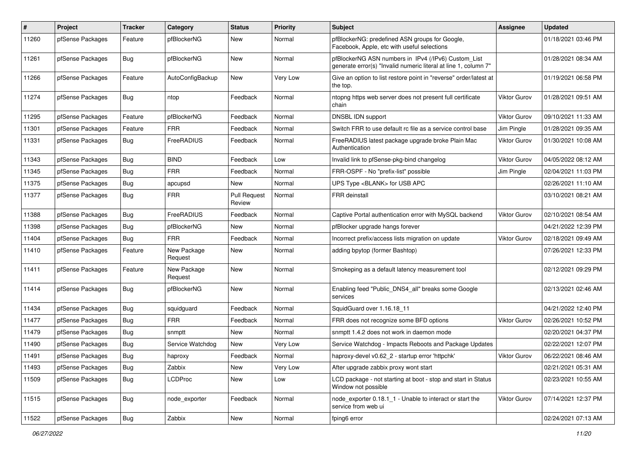| $\sharp$ | Project          | <b>Tracker</b> | Category               | <b>Status</b>                 | <b>Priority</b> | <b>Subject</b>                                                                                                         | Assignee            | <b>Updated</b>      |
|----------|------------------|----------------|------------------------|-------------------------------|-----------------|------------------------------------------------------------------------------------------------------------------------|---------------------|---------------------|
| 11260    | pfSense Packages | Feature        | pfBlockerNG            | New                           | Normal          | pfBlockerNG: predefined ASN groups for Google,<br>Facebook, Apple, etc with useful selections                          |                     | 01/18/2021 03:46 PM |
| 11261    | pfSense Packages | Bug            | pfBlockerNG            | New                           | Normal          | pfBlockerNG ASN numbers in IPv4 (/IPv6) Custom_List<br>generate error(s) "Invalid numeric literal at line 1, column 7" |                     | 01/28/2021 08:34 AM |
| 11266    | pfSense Packages | Feature        | AutoConfigBackup       | New                           | Very Low        | Give an option to list restore point in "reverse" order/latest at<br>the top.                                          |                     | 01/19/2021 06:58 PM |
| 11274    | pfSense Packages | Bug            | ntop                   | Feedback                      | Normal          | ntopng https web server does not present full certificate<br>chain                                                     | Viktor Gurov        | 01/28/2021 09:51 AM |
| 11295    | pfSense Packages | Feature        | pfBlockerNG            | Feedback                      | Normal          | DNSBL IDN support                                                                                                      | Viktor Gurov        | 09/10/2021 11:33 AM |
| 11301    | pfSense Packages | Feature        | <b>FRR</b>             | Feedback                      | Normal          | Switch FRR to use default rc file as a service control base                                                            | Jim Pingle          | 01/28/2021 09:35 AM |
| 11331    | pfSense Packages | Bug            | FreeRADIUS             | Feedback                      | Normal          | FreeRADIUS latest package upgrade broke Plain Mac<br>Authentication                                                    | <b>Viktor Gurov</b> | 01/30/2021 10:08 AM |
| 11343    | pfSense Packages | Bug            | <b>BIND</b>            | Feedback                      | Low             | Invalid link to pfSense-pkg-bind changelog                                                                             | Viktor Gurov        | 04/05/2022 08:12 AM |
| 11345    | pfSense Packages | Bug            | <b>FRR</b>             | Feedback                      | Normal          | FRR-OSPF - No "prefix-list" possible                                                                                   | Jim Pingle          | 02/04/2021 11:03 PM |
| 11375    | pfSense Packages | <b>Bug</b>     | apcupsd                | New                           | Normal          | UPS Type <blank> for USB APC</blank>                                                                                   |                     | 02/26/2021 11:10 AM |
| 11377    | pfSense Packages | <b>Bug</b>     | <b>FRR</b>             | <b>Pull Request</b><br>Review | Normal          | <b>FRR</b> deinstall                                                                                                   |                     | 03/10/2021 08:21 AM |
| 11388    | pfSense Packages | Bug            | FreeRADIUS             | Feedback                      | Normal          | Captive Portal authentication error with MySQL backend                                                                 | Viktor Gurov        | 02/10/2021 08:54 AM |
| 11398    | pfSense Packages | Bug            | pfBlockerNG            | New                           | Normal          | pfBlocker upgrade hangs forever                                                                                        |                     | 04/21/2022 12:39 PM |
| 11404    | pfSense Packages | <b>Bug</b>     | <b>FRR</b>             | Feedback                      | Normal          | Incorrect prefix/access lists migration on update                                                                      | <b>Viktor Gurov</b> | 02/18/2021 09:49 AM |
| 11410    | pfSense Packages | Feature        | New Package<br>Request | New                           | Normal          | adding bpytop (former Bashtop)                                                                                         |                     | 07/26/2021 12:33 PM |
| 11411    | pfSense Packages | Feature        | New Package<br>Request | New                           | Normal          | Smokeping as a default latency measurement tool                                                                        |                     | 02/12/2021 09:29 PM |
| 11414    | pfSense Packages | Bug            | pfBlockerNG            | New                           | Normal          | Enabling feed "Public DNS4 all" breaks some Google<br>services                                                         |                     | 02/13/2021 02:46 AM |
| 11434    | pfSense Packages | <b>Bug</b>     | squidguard             | Feedback                      | Normal          | SquidGuard over 1.16.18 11                                                                                             |                     | 04/21/2022 12:40 PM |
| 11477    | pfSense Packages | <b>Bug</b>     | <b>FRR</b>             | Feedback                      | Normal          | FRR does not recognize some BFD options                                                                                | <b>Viktor Gurov</b> | 02/26/2021 10:52 PM |
| 11479    | pfSense Packages | <b>Bug</b>     | snmptt                 | New                           | Normal          | snmptt 1.4.2 does not work in daemon mode                                                                              |                     | 02/20/2021 04:37 PM |
| 11490    | pfSense Packages | Bug            | Service Watchdog       | New                           | Very Low        | Service Watchdog - Impacts Reboots and Package Updates                                                                 |                     | 02/22/2021 12:07 PM |
| 11491    | pfSense Packages | Bug            | haproxy                | Feedback                      | Normal          | haproxy-devel v0.62 2 - startup error 'httpchk'                                                                        | <b>Viktor Gurov</b> | 06/22/2021 08:46 AM |
| 11493    | pfSense Packages | Bug            | Zabbix                 | New                           | Very Low        | After upgrade zabbix proxy wont start                                                                                  |                     | 02/21/2021 05:31 AM |
| 11509    | pfSense Packages | <b>Bug</b>     | <b>LCDProc</b>         | New                           | Low             | LCD package - not starting at boot - stop and start in Status<br>Window not possible                                   |                     | 02/23/2021 10:55 AM |
| 11515    | pfSense Packages | Bug            | node exporter          | Feedback                      | Normal          | node_exporter 0.18.1_1 - Unable to interact or start the<br>service from web ui                                        | Viktor Gurov        | 07/14/2021 12:37 PM |
| 11522    | pfSense Packages | Bug            | Zabbix                 | New                           | Normal          | fping6 error                                                                                                           |                     | 02/24/2021 07:13 AM |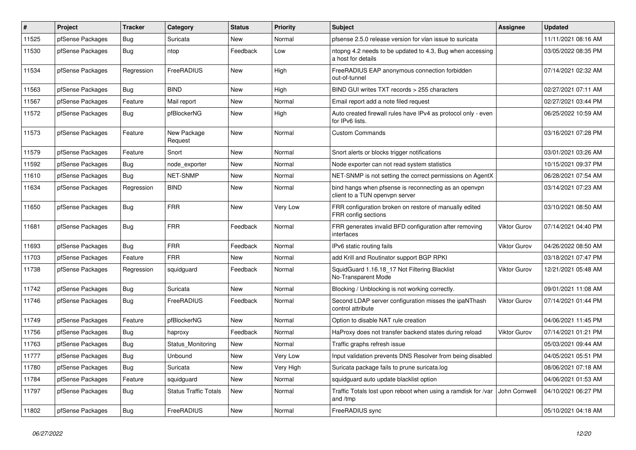| #     | <b>Project</b>   | <b>Tracker</b> | Category                     | <b>Status</b> | Priority  | <b>Subject</b>                                                                          | Assignee            | <b>Updated</b>      |
|-------|------------------|----------------|------------------------------|---------------|-----------|-----------------------------------------------------------------------------------------|---------------------|---------------------|
| 11525 | pfSense Packages | Bug            | Suricata                     | New           | Normal    | pfsense 2.5.0 release version for vlan issue to suricata                                |                     | 11/11/2021 08:16 AM |
| 11530 | pfSense Packages | <b>Bug</b>     | ntop                         | Feedback      | Low       | ntopng 4.2 needs to be updated to 4.3, Bug when accessing<br>a host for details         |                     | 03/05/2022 08:35 PM |
| 11534 | pfSense Packages | Regression     | FreeRADIUS                   | New           | High      | FreeRADIUS EAP anonymous connection forbidden<br>out-of-tunnel                          |                     | 07/14/2021 02:32 AM |
| 11563 | pfSense Packages | Bug            | <b>BIND</b>                  | <b>New</b>    | High      | BIND GUI writes TXT records > 255 characters                                            |                     | 02/27/2021 07:11 AM |
| 11567 | pfSense Packages | Feature        | Mail report                  | <b>New</b>    | Normal    | Email report add a note filed request                                                   |                     | 02/27/2021 03:44 PM |
| 11572 | pfSense Packages | <b>Bug</b>     | pfBlockerNG                  | <b>New</b>    | High      | Auto created firewall rules have IPv4 as protocol only - even<br>for IPv6 lists.        |                     | 06/25/2022 10:59 AM |
| 11573 | pfSense Packages | Feature        | New Package<br>Request       | New           | Normal    | <b>Custom Commands</b>                                                                  |                     | 03/16/2021 07:28 PM |
| 11579 | pfSense Packages | Feature        | Snort                        | <b>New</b>    | Normal    | Snort alerts or blocks trigger notifications                                            |                     | 03/01/2021 03:26 AM |
| 11592 | pfSense Packages | Bug            | node exporter                | New           | Normal    | Node exporter can not read system statistics                                            |                     | 10/15/2021 09:37 PM |
| 11610 | pfSense Packages | Bug            | NET-SNMP                     | New           | Normal    | NET-SNMP is not setting the correct permissions on AgentX                               |                     | 06/28/2021 07:54 AM |
| 11634 | pfSense Packages | Regression     | <b>BIND</b>                  | New           | Normal    | bind hangs when pfsense is reconnecting as an openvpn<br>client to a TUN openvpn server |                     | 03/14/2021 07:23 AM |
| 11650 | pfSense Packages | Bug            | <b>FRR</b>                   | <b>New</b>    | Very Low  | FRR configuration broken on restore of manually edited<br>FRR config sections           |                     | 03/10/2021 08:50 AM |
| 11681 | pfSense Packages | Bug            | <b>FRR</b>                   | Feedback      | Normal    | FRR generates invalid BFD configuration after removing<br>interfaces                    | <b>Viktor Gurov</b> | 07/14/2021 04:40 PM |
| 11693 | pfSense Packages | Bug            | <b>FRR</b>                   | Feedback      | Normal    | IPv6 static routing fails                                                               | <b>Viktor Gurov</b> | 04/26/2022 08:50 AM |
| 11703 | pfSense Packages | Feature        | <b>FRR</b>                   | New           | Normal    | add Krill and Routinator support BGP RPKI                                               |                     | 03/18/2021 07:47 PM |
| 11738 | pfSense Packages | Regression     | squidguard                   | Feedback      | Normal    | SquidGuard 1.16.18_17 Not Filtering Blacklist<br>No-Transparent Mode                    | <b>Viktor Gurov</b> | 12/21/2021 05:48 AM |
| 11742 | pfSense Packages | <b>Bug</b>     | Suricata                     | <b>New</b>    | Normal    | Blocking / Unblocking is not working correctly.                                         |                     | 09/01/2021 11:08 AM |
| 11746 | pfSense Packages | Bug            | FreeRADIUS                   | Feedback      | Normal    | Second LDAP server configuration misses the ipaNThash<br>control attribute              | <b>Viktor Gurov</b> | 07/14/2021 01:44 PM |
| 11749 | pfSense Packages | Feature        | pfBlockerNG                  | New           | Normal    | Option to disable NAT rule creation                                                     |                     | 04/06/2021 11:45 PM |
| 11756 | pfSense Packages | Bug            | haproxy                      | Feedback      | Normal    | HaProxy does not transfer backend states during reload                                  | <b>Viktor Gurov</b> | 07/14/2021 01:21 PM |
| 11763 | pfSense Packages | Bug            | Status Monitoring            | New           | Normal    | Traffic graphs refresh issue                                                            |                     | 05/03/2021 09:44 AM |
| 11777 | pfSense Packages | Bug            | Unbound                      | New           | Very Low  | Input validation prevents DNS Resolver from being disabled                              |                     | 04/05/2021 05:51 PM |
| 11780 | pfSense Packages | <b>Bug</b>     | Suricata                     | New           | Very High | Suricata package fails to prune suricata.log                                            |                     | 08/06/2021 07:18 AM |
| 11784 | pfSense Packages | Feature        | squidguard                   | <b>New</b>    | Normal    | squidguard auto update blacklist option                                                 |                     | 04/06/2021 01:53 AM |
| 11797 | pfSense Packages | Bug            | <b>Status Traffic Totals</b> | New           | Normal    | Traffic Totals lost upon reboot when using a ramdisk for /var<br>and /tmp               | John Cornwell       | 04/10/2021 06:27 PM |
| 11802 | pfSense Packages | Bug            | FreeRADIUS                   | <b>New</b>    | Normal    | FreeRADIUS sync                                                                         |                     | 05/10/2021 04:18 AM |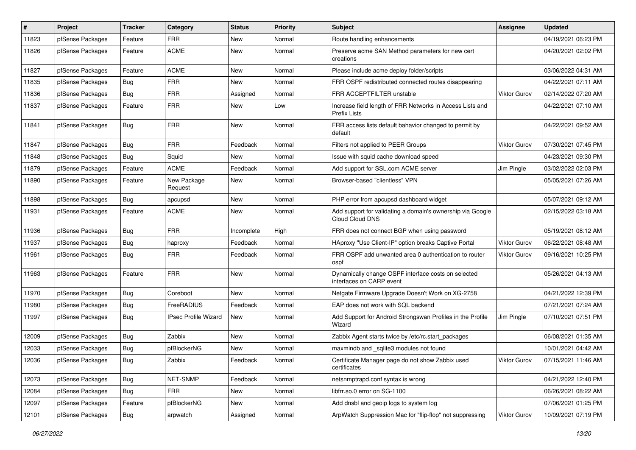| $\vert$ # | Project          | <b>Tracker</b> | Category                    | <b>Status</b> | <b>Priority</b> | Subject                                                                          | <b>Assignee</b>     | <b>Updated</b>      |
|-----------|------------------|----------------|-----------------------------|---------------|-----------------|----------------------------------------------------------------------------------|---------------------|---------------------|
| 11823     | pfSense Packages | Feature        | <b>FRR</b>                  | New           | Normal          | Route handling enhancements                                                      |                     | 04/19/2021 06:23 PM |
| 11826     | pfSense Packages | Feature        | <b>ACME</b>                 | New           | Normal          | Preserve acme SAN Method parameters for new cert<br>creations                    |                     | 04/20/2021 02:02 PM |
| 11827     | pfSense Packages | Feature        | <b>ACME</b>                 | New           | Normal          | Please include acme deploy folder/scripts                                        |                     | 03/06/2022 04:31 AM |
| 11835     | pfSense Packages | Bug            | <b>FRR</b>                  | New           | Normal          | FRR OSPF redistributed connected routes disappearing                             |                     | 04/22/2021 07:11 AM |
| 11836     | pfSense Packages | Bug            | <b>FRR</b>                  | Assigned      | Normal          | FRR ACCEPTFILTER unstable                                                        | Viktor Gurov        | 02/14/2022 07:20 AM |
| 11837     | pfSense Packages | Feature        | <b>FRR</b>                  | New           | Low             | Increase field length of FRR Networks in Access Lists and<br><b>Prefix Lists</b> |                     | 04/22/2021 07:10 AM |
| 11841     | pfSense Packages | Bug            | <b>FRR</b>                  | New           | Normal          | FRR access lists default bahavior changed to permit by<br>default                |                     | 04/22/2021 09:52 AM |
| 11847     | pfSense Packages | Bug            | <b>FRR</b>                  | Feedback      | Normal          | Filters not applied to PEER Groups                                               | Viktor Gurov        | 07/30/2021 07:45 PM |
| 11848     | pfSense Packages | Bug            | Squid                       | New           | Normal          | Issue with squid cache download speed                                            |                     | 04/23/2021 09:30 PM |
| 11879     | pfSense Packages | Feature        | <b>ACME</b>                 | Feedback      | Normal          | Add support for SSL.com ACME server                                              | Jim Pingle          | 03/02/2022 02:03 PM |
| 11890     | pfSense Packages | Feature        | New Package<br>Request      | New           | Normal          | Browser-based "clientless" VPN                                                   |                     | 05/05/2021 07:26 AM |
| 11898     | pfSense Packages | Bug            | apcupsd                     | New           | Normal          | PHP error from apcupsd dashboard widget                                          |                     | 05/07/2021 09:12 AM |
| 11931     | pfSense Packages | Feature        | <b>ACME</b>                 | New           | Normal          | Add support for validating a domain's ownership via Google<br>Cloud Cloud DNS    |                     | 02/15/2022 03:18 AM |
| 11936     | pfSense Packages | Bug            | <b>FRR</b>                  | Incomplete    | High            | FRR does not connect BGP when using password                                     |                     | 05/19/2021 08:12 AM |
| 11937     | pfSense Packages | Bug            | haproxy                     | Feedback      | Normal          | HAproxy "Use Client-IP" option breaks Captive Portal                             | <b>Viktor Gurov</b> | 06/22/2021 08:48 AM |
| 11961     | pfSense Packages | Bug            | <b>FRR</b>                  | Feedback      | Normal          | FRR OSPF add unwanted area 0 authentication to router<br>ospf                    | Viktor Gurov        | 09/16/2021 10:25 PM |
| 11963     | pfSense Packages | Feature        | <b>FRR</b>                  | New           | Normal          | Dynamically change OSPF interface costs on selected<br>interfaces on CARP event  |                     | 05/26/2021 04:13 AM |
| 11970     | pfSense Packages | Bug            | Coreboot                    | New           | Normal          | Netgate Firmware Upgrade Doesn't Work on XG-2758                                 |                     | 04/21/2022 12:39 PM |
| 11980     | pfSense Packages | Bug            | FreeRADIUS                  | Feedback      | Normal          | EAP does not work with SQL backend                                               |                     | 07/21/2021 07:24 AM |
| 11997     | pfSense Packages | Bug            | <b>IPsec Profile Wizard</b> | New           | Normal          | Add Support for Android Strongswan Profiles in the Profile<br>Wizard             | Jim Pingle          | 07/10/2021 07:51 PM |
| 12009     | pfSense Packages | Bug            | Zabbix                      | <b>New</b>    | Normal          | Zabbix Agent starts twice by /etc/rc.start_packages                              |                     | 06/08/2021 01:35 AM |
| 12033     | pfSense Packages | Bug            | pfBlockerNG                 | New           | Normal          | maxmindb and _sqlite3 modules not found                                          |                     | 10/01/2021 04:42 AM |
| 12036     | pfSense Packages | <b>Bug</b>     | Zabbix                      | Feedback      | Normal          | Certificate Manager page do not show Zabbix used<br>certificates                 | Viktor Gurov        | 07/15/2021 11:46 AM |
| 12073     | pfSense Packages | Bug            | NET-SNMP                    | Feedback      | Normal          | netsnmptrapd.conf syntax is wrong                                                |                     | 04/21/2022 12:40 PM |
| 12084     | pfSense Packages | Bug            | <b>FRR</b>                  | New           | Normal          | libfrr.so.0 error on SG-1100                                                     |                     | 06/26/2021 08:22 AM |
| 12097     | pfSense Packages | Feature        | pfBlockerNG                 | New           | Normal          | Add dnsbl and geoip logs to system log                                           |                     | 07/06/2021 01:25 PM |
| 12101     | pfSense Packages | <b>Bug</b>     | arpwatch                    | Assigned      | Normal          | ArpWatch Suppression Mac for "flip-flop" not suppressing                         | Viktor Gurov        | 10/09/2021 07:19 PM |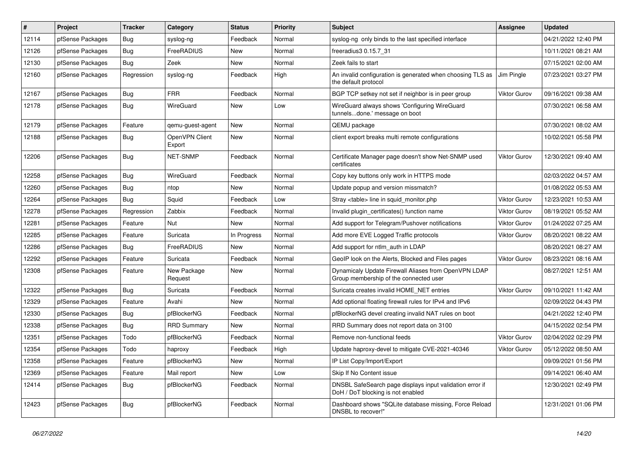| ∦     | Project          | <b>Tracker</b> | Category                 | <b>Status</b> | <b>Priority</b> | Subject                                                                                        | <b>Assignee</b>     | <b>Updated</b>      |
|-------|------------------|----------------|--------------------------|---------------|-----------------|------------------------------------------------------------------------------------------------|---------------------|---------------------|
| 12114 | pfSense Packages | Bug            | syslog-ng                | Feedback      | Normal          | syslog-ng only binds to the last specified interface                                           |                     | 04/21/2022 12:40 PM |
| 12126 | pfSense Packages | Bug            | FreeRADIUS               | New           | Normal          | freeradius3 0.15.7 31                                                                          |                     | 10/11/2021 08:21 AM |
| 12130 | pfSense Packages | Bug            | Zeek                     | New           | Normal          | Zeek fails to start                                                                            |                     | 07/15/2021 02:00 AM |
| 12160 | pfSense Packages | Regression     | syslog-ng                | Feedback      | High            | An invalid configuration is generated when choosing TLS as<br>the default protocol             | Jim Pingle          | 07/23/2021 03:27 PM |
| 12167 | pfSense Packages | <b>Bug</b>     | <b>FRR</b>               | Feedback      | Normal          | BGP TCP setkey not set if neighbor is in peer group                                            | <b>Viktor Gurov</b> | 09/16/2021 09:38 AM |
| 12178 | pfSense Packages | <b>Bug</b>     | WireGuard                | New           | Low             | WireGuard always shows 'Configuring WireGuard<br>tunnelsdone.' message on boot                 |                     | 07/30/2021 06:58 AM |
| 12179 | pfSense Packages | Feature        | gemu-guest-agent         | New           | Normal          | QEMU package                                                                                   |                     | 07/30/2021 08:02 AM |
| 12188 | pfSense Packages | <b>Bug</b>     | OpenVPN Client<br>Export | New           | Normal          | client export breaks multi remote configurations                                               |                     | 10/02/2021 05:58 PM |
| 12206 | pfSense Packages | <b>Bug</b>     | NET-SNMP                 | Feedback      | Normal          | Certificate Manager page doesn't show Net-SNMP used<br>certificates                            | <b>Viktor Gurov</b> | 12/30/2021 09:40 AM |
| 12258 | pfSense Packages | Bug            | WireGuard                | Feedback      | Normal          | Copy key buttons only work in HTTPS mode                                                       |                     | 02/03/2022 04:57 AM |
| 12260 | pfSense Packages | Bug            | ntop                     | New           | Normal          | Update popup and version missmatch?                                                            |                     | 01/08/2022 05:53 AM |
| 12264 | pfSense Packages | Bug            | Squid                    | Feedback      | Low             | Stray <table> line in squid_monitor.php</table>                                                | <b>Viktor Gurov</b> | 12/23/2021 10:53 AM |
| 12278 | pfSense Packages | Regression     | Zabbix                   | Feedback      | Normal          | Invalid plugin certificates() function name                                                    | <b>Viktor Gurov</b> | 08/19/2021 05:52 AM |
| 12281 | pfSense Packages | Feature        | <b>Nut</b>               | New           | Normal          | Add support for Telegram/Pushover notifications                                                | <b>Viktor Gurov</b> | 01/24/2022 07:25 AM |
| 12285 | pfSense Packages | Feature        | Suricata                 | In Progress   | Normal          | Add more EVE Logged Traffic protocols                                                          | <b>Viktor Gurov</b> | 08/20/2021 08:22 AM |
| 12286 | pfSense Packages | <b>Bug</b>     | FreeRADIUS               | <b>New</b>    | Normal          | Add support for ntlm auth in LDAP                                                              |                     | 08/20/2021 08:27 AM |
| 12292 | pfSense Packages | Feature        | Suricata                 | Feedback      | Normal          | GeoIP look on the Alerts, Blocked and Files pages                                              | <b>Viktor Gurov</b> | 08/23/2021 08:16 AM |
| 12308 | pfSense Packages | Feature        | New Package<br>Request   | New           | Normal          | Dynamicaly Update Firewall Aliases from OpenVPN LDAP<br>Group membership of the connected user |                     | 08/27/2021 12:51 AM |
| 12322 | pfSense Packages | Bug            | Suricata                 | Feedback      | Normal          | Suricata creates invalid HOME_NET entries                                                      | <b>Viktor Gurov</b> | 09/10/2021 11:42 AM |
| 12329 | pfSense Packages | Feature        | Avahi                    | New           | Normal          | Add optional floating firewall rules for IPv4 and IPv6                                         |                     | 02/09/2022 04:43 PM |
| 12330 | pfSense Packages | Bug            | pfBlockerNG              | Feedback      | Normal          | pfBlockerNG devel creating invalid NAT rules on boot                                           |                     | 04/21/2022 12:40 PM |
| 12338 | pfSense Packages | <b>Bug</b>     | <b>RRD Summary</b>       | New           | Normal          | RRD Summary does not report data on 3100                                                       |                     | 04/15/2022 02:54 PM |
| 12351 | pfSense Packages | Todo           | pfBlockerNG              | Feedback      | Normal          | Remove non-functional feeds                                                                    | <b>Viktor Gurov</b> | 02/04/2022 02:29 PM |
| 12354 | pfSense Packages | Todo           | haproxy                  | Feedback      | High            | Update haproxy-devel to mitigate CVE-2021-40346                                                | <b>Viktor Gurov</b> | 05/12/2022 08:50 AM |
| 12358 | pfSense Packages | Feature        | pfBlockerNG              | New           | Normal          | IP List Copy/Import/Export                                                                     |                     | 09/09/2021 01:56 PM |
| 12369 | pfSense Packages | Feature        | Mail report              | New           | Low             | Skip If No Content issue                                                                       |                     | 09/14/2021 06:40 AM |
| 12414 | pfSense Packages | Bug            | pfBlockerNG              | Feedback      | Normal          | DNSBL SafeSearch page displays input validation error if<br>DoH / DoT blocking is not enabled  |                     | 12/30/2021 02:49 PM |
| 12423 | pfSense Packages | <b>Bug</b>     | pfBlockerNG              | Feedback      | Normal          | Dashboard shows "SQLite database missing, Force Reload<br>DNSBL to recover!"                   |                     | 12/31/2021 01:06 PM |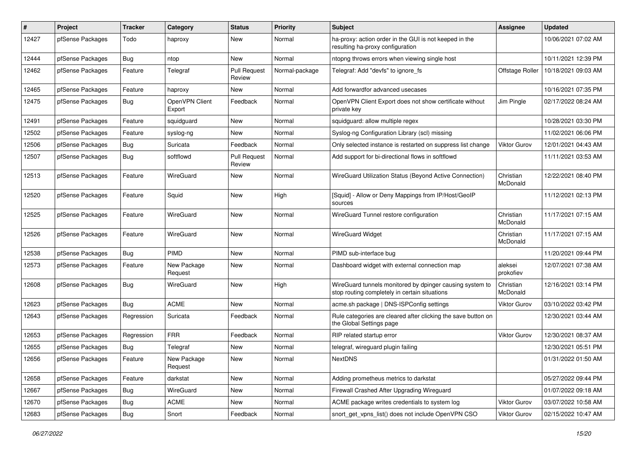| #     | Project          | Tracker    | Category                 | <b>Status</b>                 | <b>Priority</b> | <b>Subject</b>                                                                                            | <b>Assignee</b>       | <b>Updated</b>      |
|-------|------------------|------------|--------------------------|-------------------------------|-----------------|-----------------------------------------------------------------------------------------------------------|-----------------------|---------------------|
| 12427 | pfSense Packages | Todo       | haproxy                  | New                           | Normal          | ha-proxy: action order in the GUI is not keeped in the<br>resulting ha-proxy configuration                |                       | 10/06/2021 07:02 AM |
| 12444 | pfSense Packages | Bug        | ntop                     | New                           | Normal          | ntopng throws errors when viewing single host                                                             |                       | 10/11/2021 12:39 PM |
| 12462 | pfSense Packages | Feature    | Telegraf                 | <b>Pull Request</b><br>Review | Normal-package  | Telegraf: Add "devfs" to ignore fs                                                                        | Offstage Roller       | 10/18/2021 09:03 AM |
| 12465 | pfSense Packages | Feature    | haproxy                  | New                           | Normal          | Add forwardfor advanced usecases                                                                          |                       | 10/16/2021 07:35 PM |
| 12475 | pfSense Packages | Bug        | OpenVPN Client<br>Export | Feedback                      | Normal          | OpenVPN Client Export does not show certificate without<br>private key                                    | Jim Pingle            | 02/17/2022 08:24 AM |
| 12491 | pfSense Packages | Feature    | squidguard               | New                           | Normal          | squidguard: allow multiple regex                                                                          |                       | 10/28/2021 03:30 PM |
| 12502 | pfSense Packages | Feature    | syslog-ng                | <b>New</b>                    | Normal          | Syslog-ng Configuration Library (scl) missing                                                             |                       | 11/02/2021 06:06 PM |
| 12506 | pfSense Packages | Bug        | Suricata                 | Feedback                      | Normal          | Only selected instance is restarted on suppress list change                                               | <b>Viktor Gurov</b>   | 12/01/2021 04:43 AM |
| 12507 | pfSense Packages | Bug        | softflowd                | <b>Pull Request</b><br>Review | Normal          | Add support for bi-directional flows in softflowd                                                         |                       | 11/11/2021 03:53 AM |
| 12513 | pfSense Packages | Feature    | WireGuard                | New                           | Normal          | WireGuard Utilization Status (Beyond Active Connection)                                                   | Christian<br>McDonald | 12/22/2021 08:40 PM |
| 12520 | pfSense Packages | Feature    | Squid                    | New                           | High            | [Squid] - Allow or Deny Mappings from IP/Host/GeoIP<br>sources                                            |                       | 11/12/2021 02:13 PM |
| 12525 | pfSense Packages | Feature    | WireGuard                | New                           | Normal          | WireGuard Tunnel restore configuration                                                                    | Christian<br>McDonald | 11/17/2021 07:15 AM |
| 12526 | pfSense Packages | Feature    | WireGuard                | New                           | Normal          | <b>WireGuard Widget</b>                                                                                   | Christian<br>McDonald | 11/17/2021 07:15 AM |
| 12538 | pfSense Packages | Bug        | <b>PIMD</b>              | New                           | Normal          | PIMD sub-interface bug                                                                                    |                       | 11/20/2021 09:44 PM |
| 12573 | pfSense Packages | Feature    | New Package<br>Request   | New                           | Normal          | Dashboard widget with external connection map                                                             | aleksei<br>prokofiev  | 12/07/2021 07:38 AM |
| 12608 | pfSense Packages | Bug        | WireGuard                | New                           | High            | WireGuard tunnels monitored by dpinger causing system to<br>stop routing completely in certain situations | Christian<br>McDonald | 12/16/2021 03:14 PM |
| 12623 | pfSense Packages | Bug        | <b>ACME</b>              | New                           | Normal          | acme.sh package   DNS-ISPConfig settings                                                                  | <b>Viktor Gurov</b>   | 03/10/2022 03:42 PM |
| 12643 | pfSense Packages | Regression | Suricata                 | Feedback                      | Normal          | Rule categories are cleared after clicking the save button on<br>the Global Settings page                 |                       | 12/30/2021 03:44 AM |
| 12653 | pfSense Packages | Regression | <b>FRR</b>               | Feedback                      | Normal          | RIP related startup error                                                                                 | Viktor Gurov          | 12/30/2021 08:37 AM |
| 12655 | pfSense Packages | Bug        | Telegraf                 | New                           | Normal          | telegraf, wireguard plugin failing                                                                        |                       | 12/30/2021 05:51 PM |
| 12656 | pfSense Packages | Feature    | New Package<br>Request   | New                           | Normal          | NextDNS                                                                                                   |                       | 01/31/2022 01:50 AM |
| 12658 | pfSense Packages | Feature    | darkstat                 | <b>New</b>                    | Normal          | Adding prometheus metrics to darkstat                                                                     |                       | 05/27/2022 09:44 PM |
| 12667 | pfSense Packages | <b>Bug</b> | WireGuard                | New                           | Normal          | Firewall Crashed After Upgrading Wireguard                                                                |                       | 01/07/2022 09:18 AM |
| 12670 | pfSense Packages | Bug        | ACME                     | New                           | Normal          | ACME package writes credentials to system log                                                             | Viktor Gurov          | 03/07/2022 10:58 AM |
| 12683 | pfSense Packages | Bug        | Snort                    | Feedback                      | Normal          | snort_get_vpns_list() does not include OpenVPN CSO                                                        | Viktor Gurov          | 02/15/2022 10:47 AM |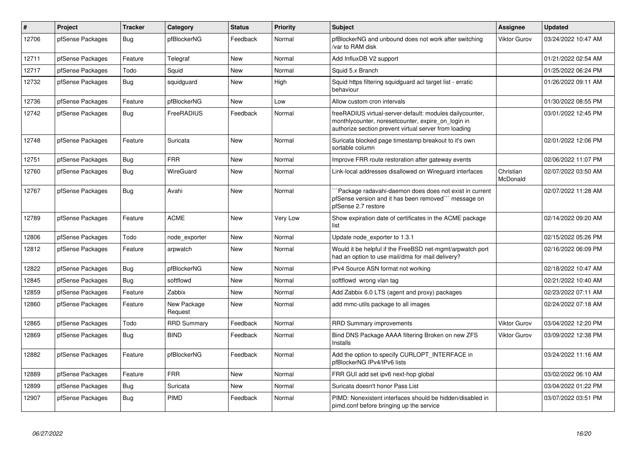| $\sharp$ | Project          | <b>Tracker</b> | Category               | <b>Status</b> | <b>Priority</b> | <b>Subject</b>                                                                                                                                                          | Assignee              | <b>Updated</b>      |
|----------|------------------|----------------|------------------------|---------------|-----------------|-------------------------------------------------------------------------------------------------------------------------------------------------------------------------|-----------------------|---------------------|
| 12706    | pfSense Packages | <b>Bug</b>     | pfBlockerNG            | Feedback      | Normal          | pfBlockerNG and unbound does not work after switching<br>/var to RAM disk                                                                                               | <b>Viktor Gurov</b>   | 03/24/2022 10:47 AM |
| 12711    | pfSense Packages | Feature        | Telegraf               | <b>New</b>    | Normal          | Add InfluxDB V2 support                                                                                                                                                 |                       | 01/21/2022 02:54 AM |
| 12717    | pfSense Packages | Todo           | Squid                  | <b>New</b>    | Normal          | Squid 5.x Branch                                                                                                                                                        |                       | 01/25/2022 06:24 PM |
| 12732    | pfSense Packages | <b>Bug</b>     | squidguard             | <b>New</b>    | High            | Squid https filtering squidguard acl target list - erratic<br>behaviour                                                                                                 |                       | 01/26/2022 09:11 AM |
| 12736    | pfSense Packages | Feature        | pfBlockerNG            | New           | Low             | Allow custom cron intervals                                                                                                                                             |                       | 01/30/2022 08:55 PM |
| 12742    | pfSense Packages | <b>Bug</b>     | FreeRADIUS             | Feedback      | Normal          | freeRADIUS virtual-server-default: modules dailycounter,<br>monthlycounter, noresetcounter, expire_on_login in<br>authorize section prevent virtual server from loading |                       | 03/01/2022 12:45 PM |
| 12748    | pfSense Packages | Feature        | Suricata               | <b>New</b>    | Normal          | Suricata blocked page timestamp breakout to it's own<br>sortable column                                                                                                 |                       | 02/01/2022 12:06 PM |
| 12751    | pfSense Packages | <b>Bug</b>     | <b>FRR</b>             | <b>New</b>    | Normal          | Improve FRR route restoration after gateway events                                                                                                                      |                       | 02/06/2022 11:07 PM |
| 12760    | pfSense Packages | Bug            | WireGuard              | New           | Normal          | Link-local addresses disallowed on Wireguard interfaces                                                                                                                 | Christian<br>McDonald | 02/07/2022 03:50 AM |
| 12767    | pfSense Packages | <b>Bug</b>     | Avahi                  | <b>New</b>    | Normal          | `Package radavahi-daemon does does not exist in current<br>pfSense version and it has been removed" message on<br>pfSense 2.7 restore                                   |                       | 02/07/2022 11:28 AM |
| 12789    | pfSense Packages | Feature        | <b>ACME</b>            | <b>New</b>    | Very Low        | Show expiration date of certificates in the ACME package<br>list                                                                                                        |                       | 02/14/2022 09:20 AM |
| 12806    | pfSense Packages | Todo           | node exporter          | New           | Normal          | Update node exporter to 1.3.1                                                                                                                                           |                       | 02/15/2022 05:26 PM |
| 12812    | pfSense Packages | Feature        | arpwatch               | <b>New</b>    | Normal          | Would it be helpful if the FreeBSD net-mgmt/arpwatch port<br>had an option to use mail/dma for mail delivery?                                                           |                       | 02/16/2022 06:09 PM |
| 12822    | pfSense Packages | Bug            | pfBlockerNG            | <b>New</b>    | Normal          | IPv4 Source ASN format not working                                                                                                                                      |                       | 02/18/2022 10:47 AM |
| 12845    | pfSense Packages | Bug            | softflowd              | New           | Normal          | softflowd wrong vlan tag                                                                                                                                                |                       | 02/21/2022 10:40 AM |
| 12859    | pfSense Packages | Feature        | Zabbix                 | New           | Normal          | Add Zabbix 6.0 LTS (agent and proxy) packages                                                                                                                           |                       | 02/23/2022 07:11 AM |
| 12860    | pfSense Packages | Feature        | New Package<br>Request | <b>New</b>    | Normal          | add mmc-utils package to all images                                                                                                                                     |                       | 02/24/2022 07:18 AM |
| 12865    | pfSense Packages | Todo           | <b>RRD Summary</b>     | Feedback      | Normal          | <b>RRD Summary improvements</b>                                                                                                                                         | <b>Viktor Gurov</b>   | 03/04/2022 12:20 PM |
| 12869    | pfSense Packages | <b>Bug</b>     | <b>BIND</b>            | Feedback      | Normal          | Bind DNS Package AAAA filtering Broken on new ZFS<br>Installs                                                                                                           | <b>Viktor Gurov</b>   | 03/09/2022 12:38 PM |
| 12882    | pfSense Packages | Feature        | pfBlockerNG            | Feedback      | Normal          | Add the option to specify CURLOPT_INTERFACE in<br>pfBlockerNG IPv4/IPv6 lists                                                                                           |                       | 03/24/2022 11:16 AM |
| 12889    | pfSense Packages | Feature        | <b>FRR</b>             | New           | Normal          | FRR GUI add set ipv6 next-hop global                                                                                                                                    |                       | 03/02/2022 06:10 AM |
| 12899    | pfSense Packages | Bug            | Suricata               | New           | Normal          | Suricata doesn't honor Pass List                                                                                                                                        |                       | 03/04/2022 01:22 PM |
| 12907    | pfSense Packages | <b>Bug</b>     | PIMD                   | Feedback      | Normal          | PIMD: Nonexistent interfaces should be hidden/disabled in<br>pimd.conf before bringing up the service                                                                   |                       | 03/07/2022 03:51 PM |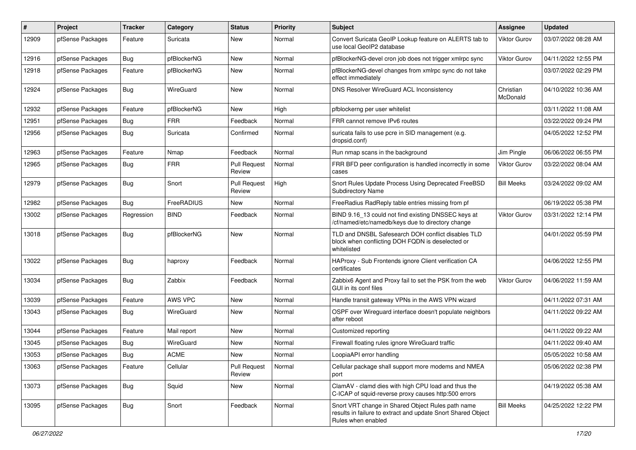| #     | Project          | <b>Tracker</b> | Category    | <b>Status</b>                 | <b>Priority</b> | Subject                                                                                                                                 | <b>Assignee</b>       | <b>Updated</b>      |
|-------|------------------|----------------|-------------|-------------------------------|-----------------|-----------------------------------------------------------------------------------------------------------------------------------------|-----------------------|---------------------|
| 12909 | pfSense Packages | Feature        | Suricata    | New                           | Normal          | Convert Suricata GeoIP Lookup feature on ALERTS tab to<br>use local GeoIP2 database                                                     | Viktor Gurov          | 03/07/2022 08:28 AM |
| 12916 | pfSense Packages | Bug            | pfBlockerNG | <b>New</b>                    | Normal          | pfBlockerNG-devel cron job does not trigger xmlrpc sync                                                                                 | Viktor Gurov          | 04/11/2022 12:55 PM |
| 12918 | pfSense Packages | Feature        | pfBlockerNG | <b>New</b>                    | Normal          | pfBlockerNG-devel changes from xmlrpc sync do not take<br>effect immediately                                                            |                       | 03/07/2022 02:29 PM |
| 12924 | pfSense Packages | Bug            | WireGuard   | <b>New</b>                    | Normal          | DNS Resolver WireGuard ACL Inconsistency                                                                                                | Christian<br>McDonald | 04/10/2022 10:36 AM |
| 12932 | pfSense Packages | Feature        | pfBlockerNG | <b>New</b>                    | High            | pfblockerng per user whitelist                                                                                                          |                       | 03/11/2022 11:08 AM |
| 12951 | pfSense Packages | <b>Bug</b>     | <b>FRR</b>  | Feedback                      | Normal          | FRR cannot remove IPv6 routes                                                                                                           |                       | 03/22/2022 09:24 PM |
| 12956 | pfSense Packages | <b>Bug</b>     | Suricata    | Confirmed                     | Normal          | suricata fails to use pcre in SID management (e.g.<br>dropsid.conf)                                                                     |                       | 04/05/2022 12:52 PM |
| 12963 | pfSense Packages | Feature        | Nmap        | Feedback                      | Normal          | Run nmap scans in the background                                                                                                        | Jim Pingle            | 06/06/2022 06:55 PM |
| 12965 | pfSense Packages | Bug            | <b>FRR</b>  | <b>Pull Request</b><br>Review | Normal          | FRR BFD peer configuration is handled incorrectly in some<br>cases                                                                      | Viktor Gurov          | 03/22/2022 08:04 AM |
| 12979 | pfSense Packages | <b>Bug</b>     | Snort       | <b>Pull Request</b><br>Review | High            | Snort Rules Update Process Using Deprecated FreeBSD<br><b>Subdirectory Name</b>                                                         | <b>Bill Meeks</b>     | 03/24/2022 09:02 AM |
| 12982 | pfSense Packages | Bug            | FreeRADIUS  | New                           | Normal          | FreeRadius RadReply table entries missing from pf                                                                                       |                       | 06/19/2022 05:38 PM |
| 13002 | pfSense Packages | Regression     | <b>BIND</b> | Feedback                      | Normal          | BIND 9.16_13 could not find existing DNSSEC keys at<br>/cf/named/etc/namedb/keys due to directory change                                | Viktor Gurov          | 03/31/2022 12:14 PM |
| 13018 | pfSense Packages | Bug            | pfBlockerNG | <b>New</b>                    | Normal          | TLD and DNSBL Safesearch DOH conflict disables TLD<br>block when conflicting DOH FQDN is deselected or<br>whitelisted                   |                       | 04/01/2022 05:59 PM |
| 13022 | pfSense Packages | Bug            | haproxy     | Feedback                      | Normal          | HAProxy - Sub Frontends ignore Client verification CA<br>certificates                                                                   |                       | 04/06/2022 12:55 PM |
| 13034 | pfSense Packages | Bug            | Zabbix      | Feedback                      | Normal          | Zabbix6 Agent and Proxy fail to set the PSK from the web<br>GUI in its conf files                                                       | Viktor Gurov          | 04/06/2022 11:59 AM |
| 13039 | pfSense Packages | Feature        | AWS VPC     | <b>New</b>                    | Normal          | Handle transit gateway VPNs in the AWS VPN wizard                                                                                       |                       | 04/11/2022 07:31 AM |
| 13043 | pfSense Packages | <b>Bug</b>     | WireGuard   | New                           | Normal          | OSPF over Wireguard interface doesn't populate neighbors<br>after reboot                                                                |                       | 04/11/2022 09:22 AM |
| 13044 | pfSense Packages | Feature        | Mail report | New                           | Normal          | Customized reporting                                                                                                                    |                       | 04/11/2022 09:22 AM |
| 13045 | pfSense Packages | Bug            | WireGuard   | New                           | Normal          | Firewall floating rules ignore WireGuard traffic                                                                                        |                       | 04/11/2022 09:40 AM |
| 13053 | pfSense Packages | Bug            | <b>ACME</b> | New                           | Normal          | LoopiaAPI error handling                                                                                                                |                       | 05/05/2022 10:58 AM |
| 13063 | pfSense Packages | Feature        | Cellular    | <b>Pull Request</b><br>Review | Normal          | Cellular package shall support more modems and NMEA<br>port                                                                             |                       | 05/06/2022 02:38 PM |
| 13073 | pfSense Packages | <b>Bug</b>     | Squid       | New                           | Normal          | ClamAV - clamd dies with high CPU load and thus the<br>C-ICAP of squid-reverse proxy causes http:500 errors                             |                       | 04/19/2022 05:38 AM |
| 13095 | pfSense Packages | Bug            | Snort       | Feedback                      | Normal          | Snort VRT change in Shared Object Rules path name<br>results in failure to extract and update Snort Shared Object<br>Rules when enabled | <b>Bill Meeks</b>     | 04/25/2022 12:22 PM |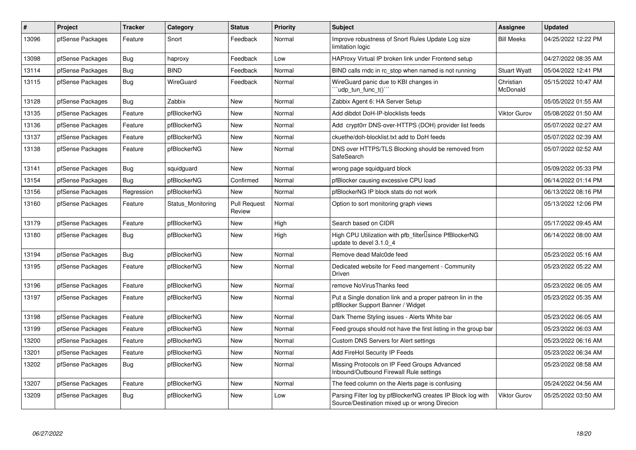| #     | Project          | <b>Tracker</b> | Category          | <b>Status</b>                 | <b>Priority</b> | <b>Subject</b>                                                                                               | Assignee              | <b>Updated</b>      |
|-------|------------------|----------------|-------------------|-------------------------------|-----------------|--------------------------------------------------------------------------------------------------------------|-----------------------|---------------------|
| 13096 | pfSense Packages | Feature        | Snort             | Feedback                      | Normal          | Improve robustness of Snort Rules Update Log size<br>limitation logic                                        | <b>Bill Meeks</b>     | 04/25/2022 12:22 PM |
| 13098 | pfSense Packages | Bug            | haproxy           | Feedback                      | Low             | HAProxy Virtual IP broken link under Frontend setup                                                          |                       | 04/27/2022 08:35 AM |
| 13114 | pfSense Packages | <b>Bug</b>     | <b>BIND</b>       | Feedback                      | Normal          | BIND calls rndc in rc stop when named is not running                                                         | <b>Stuart Wyatt</b>   | 05/04/2022 12:41 PM |
| 13115 | pfSense Packages | Bug            | WireGuard         | Feedback                      | Normal          | WireGuard panic due to KBI changes in<br>'`udp_tun_func_t()``                                                | Christian<br>McDonald | 05/15/2022 10:47 AM |
| 13128 | pfSense Packages | Bug            | Zabbix            | <b>New</b>                    | Normal          | Zabbix Agent 6: HA Server Setup                                                                              |                       | 05/05/2022 01:55 AM |
| 13135 | pfSense Packages | Feature        | pfBlockerNG       | <b>New</b>                    | Normal          | Add dibdot DoH-IP-blocklists feeds                                                                           | <b>Viktor Gurov</b>   | 05/08/2022 01:50 AM |
| 13136 | pfSense Packages | Feature        | pfBlockerNG       | <b>New</b>                    | Normal          | Add crypt0rr DNS-over-HTTPS (DOH) provider list feeds                                                        |                       | 05/07/2022 02:27 AM |
| 13137 | pfSense Packages | Feature        | pfBlockerNG       | <b>New</b>                    | Normal          | ckuethe/doh-blocklist.txt add to DoH feeds                                                                   |                       | 05/07/2022 02:39 AM |
| 13138 | pfSense Packages | Feature        | pfBlockerNG       | <b>New</b>                    | Normal          | DNS over HTTPS/TLS Blocking should be removed from<br>SafeSearch                                             |                       | 05/07/2022 02:52 AM |
| 13141 | pfSense Packages | Bug            | squidguard        | New                           | Normal          | wrong page squidguard block                                                                                  |                       | 05/09/2022 05:33 PM |
| 13154 | pfSense Packages | Bug            | pfBlockerNG       | Confirmed                     | Normal          | pfBlocker causing excessive CPU load                                                                         |                       | 06/14/2022 01:14 PM |
| 13156 | pfSense Packages | Regression     | pfBlockerNG       | <b>New</b>                    | Normal          | pfBlockerNG IP block stats do not work                                                                       |                       | 06/13/2022 08:16 PM |
| 13160 | pfSense Packages | Feature        | Status Monitoring | <b>Pull Request</b><br>Review | Normal          | Option to sort monitoring graph views                                                                        |                       | 05/13/2022 12:06 PM |
| 13179 | pfSense Packages | Feature        | pfBlockerNG       | <b>New</b>                    | High            | Search based on CIDR                                                                                         |                       | 05/17/2022 09:45 AM |
| 13180 | pfSense Packages | <b>Bug</b>     | pfBlockerNG       | <b>New</b>                    | High            | High CPU Utilization with pfb filter Isince PfBlockerNG<br>update to devel 3.1.0 4                           |                       | 06/14/2022 08:00 AM |
| 13194 | pfSense Packages | Bug            | pfBlockerNG       | <b>New</b>                    | Normal          | Remove dead Malc0de feed                                                                                     |                       | 05/23/2022 05:16 AM |
| 13195 | pfSense Packages | Feature        | pfBlockerNG       | <b>New</b>                    | Normal          | Dedicated website for Feed mangement - Community<br>Driven                                                   |                       | 05/23/2022 05:22 AM |
| 13196 | pfSense Packages | Feature        | pfBlockerNG       | <b>New</b>                    | Normal          | remove NoVirusThanks feed                                                                                    |                       | 05/23/2022 06:05 AM |
| 13197 | pfSense Packages | Feature        | pfBlockerNG       | <b>New</b>                    | Normal          | Put a Single donation link and a proper patreon lin in the<br>pfBlocker Support Banner / Widget              |                       | 05/23/2022 05:35 AM |
| 13198 | pfSense Packages | Feature        | pfBlockerNG       | <b>New</b>                    | Normal          | Dark Theme Styling issues - Alerts White bar                                                                 |                       | 05/23/2022 06:05 AM |
| 13199 | pfSense Packages | Feature        | pfBlockerNG       | <b>New</b>                    | Normal          | Feed groups should not have the first listing in the group bar                                               |                       | 05/23/2022 06:03 AM |
| 13200 | pfSense Packages | Feature        | pfBlockerNG       | <b>New</b>                    | Normal          | Custom DNS Servers for Alert settings                                                                        |                       | 05/23/2022 06:16 AM |
| 13201 | pfSense Packages | Feature        | pfBlockerNG       | <b>New</b>                    | Normal          | Add FireHol Security IP Feeds                                                                                |                       | 05/23/2022 06:34 AM |
| 13202 | pfSense Packages | <b>Bug</b>     | pfBlockerNG       | <b>New</b>                    | Normal          | Missing Protocols on IP Feed Groups Advanced<br>Inbound/Outbound Firewall Rule settings                      |                       | 05/23/2022 08:58 AM |
| 13207 | pfSense Packages | Feature        | pfBlockerNG       | <b>New</b>                    | Normal          | The feed column on the Alerts page is confusing                                                              |                       | 05/24/2022 04:56 AM |
| 13209 | pfSense Packages | <b>Bug</b>     | pfBlockerNG       | <b>New</b>                    | Low             | Parsing Filter log by pfBlockerNG creates IP Block log with<br>Source/Destination mixed up or wrong Direcion | <b>Viktor Gurov</b>   | 05/25/2022 03:50 AM |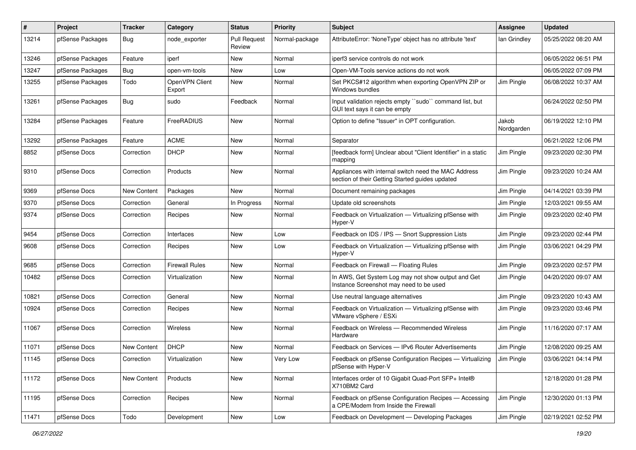| #     | Project          | <b>Tracker</b>     | Category                 | <b>Status</b>                 | <b>Priority</b> | <b>Subject</b>                                                                                          | <b>Assignee</b>     | <b>Updated</b>      |
|-------|------------------|--------------------|--------------------------|-------------------------------|-----------------|---------------------------------------------------------------------------------------------------------|---------------------|---------------------|
| 13214 | pfSense Packages | <b>Bug</b>         | node exporter            | <b>Pull Request</b><br>Review | Normal-package  | AttributeError: 'NoneType' object has no attribute 'text'                                               | lan Grindley        | 05/25/2022 08:20 AM |
| 13246 | pfSense Packages | Feature            | iperf                    | New                           | Normal          | iperf3 service controls do not work                                                                     |                     | 06/05/2022 06:51 PM |
| 13247 | pfSense Packages | Bug                | open-vm-tools            | New                           | Low             | Open-VM-Tools service actions do not work                                                               |                     | 06/05/2022 07:09 PM |
| 13255 | pfSense Packages | Todo               | OpenVPN Client<br>Export | New                           | Normal          | Set PKCS#12 algorithm when exporting OpenVPN ZIP or<br>Windows bundles                                  | Jim Pingle          | 06/08/2022 10:37 AM |
| 13261 | pfSense Packages | Bug                | sudo                     | Feedback                      | Normal          | Input validation rejects empty "sudo" command list, but<br>GUI text says it can be empty                |                     | 06/24/2022 02:50 PM |
| 13284 | pfSense Packages | Feature            | FreeRADIUS               | New                           | Normal          | Option to define "Issuer" in OPT configuration.                                                         | Jakob<br>Nordgarden | 06/19/2022 12:10 PM |
| 13292 | pfSense Packages | Feature            | <b>ACME</b>              | New                           | Normal          | Separator                                                                                               |                     | 06/21/2022 12:06 PM |
| 8852  | pfSense Docs     | Correction         | <b>DHCP</b>              | New                           | Normal          | [feedback form] Unclear about "Client Identifier" in a static<br>mapping                                | Jim Pingle          | 09/23/2020 02:30 PM |
| 9310  | pfSense Docs     | Correction         | Products                 | New                           | Normal          | Appliances with internal switch need the MAC Address<br>section of their Getting Started guides updated | Jim Pingle          | 09/23/2020 10:24 AM |
| 9369  | pfSense Docs     | New Content        | Packages                 | New                           | Normal          | Document remaining packages                                                                             | Jim Pingle          | 04/14/2021 03:39 PM |
| 9370  | pfSense Docs     | Correction         | General                  | In Progress                   | Normal          | Update old screenshots                                                                                  | Jim Pingle          | 12/03/2021 09:55 AM |
| 9374  | pfSense Docs     | Correction         | Recipes                  | New                           | Normal          | Feedback on Virtualization - Virtualizing pfSense with<br>Hyper-V                                       | Jim Pingle          | 09/23/2020 02:40 PM |
| 9454  | pfSense Docs     | Correction         | Interfaces               | New                           | Low             | Feedback on IDS / IPS - Snort Suppression Lists                                                         | Jim Pingle          | 09/23/2020 02:44 PM |
| 9608  | pfSense Docs     | Correction         | Recipes                  | New                           | Low             | Feedback on Virtualization - Virtualizing pfSense with<br>Hyper-V                                       | Jim Pingle          | 03/06/2021 04:29 PM |
| 9685  | pfSense Docs     | Correction         | <b>Firewall Rules</b>    | New                           | Normal          | Feedback on Firewall - Floating Rules                                                                   | Jim Pingle          | 09/23/2020 02:57 PM |
| 10482 | pfSense Docs     | Correction         | Virtualization           | New                           | Normal          | In AWS, Get System Log may not show output and Get<br>Instance Screenshot may need to be used           | Jim Pingle          | 04/20/2020 09:07 AM |
| 10821 | pfSense Docs     | Correction         | General                  | New                           | Normal          | Use neutral language alternatives                                                                       | Jim Pingle          | 09/23/2020 10:43 AM |
| 10924 | pfSense Docs     | Correction         | Recipes                  | New                           | Normal          | Feedback on Virtualization - Virtualizing pfSense with<br>VMware vSphere / ESXi                         | Jim Pingle          | 09/23/2020 03:46 PM |
| 11067 | pfSense Docs     | Correction         | <b>Wireless</b>          | <b>New</b>                    | Normal          | Feedback on Wireless - Recommended Wireless<br>Hardware                                                 | Jim Pingle          | 11/16/2020 07:17 AM |
| 11071 | pfSense Docs     | <b>New Content</b> | <b>DHCP</b>              | New                           | Normal          | Feedback on Services - IPv6 Router Advertisements                                                       | Jim Pingle          | 12/08/2020 09:25 AM |
| 11145 | pfSense Docs     | Correction         | Virtualization           | New                           | Very Low        | Feedback on pfSense Configuration Recipes - Virtualizing<br>pfSense with Hyper-V                        | Jim Pingle          | 03/06/2021 04:14 PM |
| 11172 | pfSense Docs     | New Content        | Products                 | New                           | Normal          | Interfaces order of 10 Gigabit Quad-Port SFP+ Intel®<br>X710BM2 Card                                    |                     | 12/18/2020 01:28 PM |
| 11195 | pfSense Docs     | Correction         | Recipes                  | New                           | Normal          | Feedback on pfSense Configuration Recipes - Accessing<br>a CPE/Modem from Inside the Firewall           | Jim Pingle          | 12/30/2020 01:13 PM |
| 11471 | pfSense Docs     | Todo               | Development              | New                           | Low             | Feedback on Development - Developing Packages                                                           | Jim Pingle          | 02/19/2021 02:52 PM |